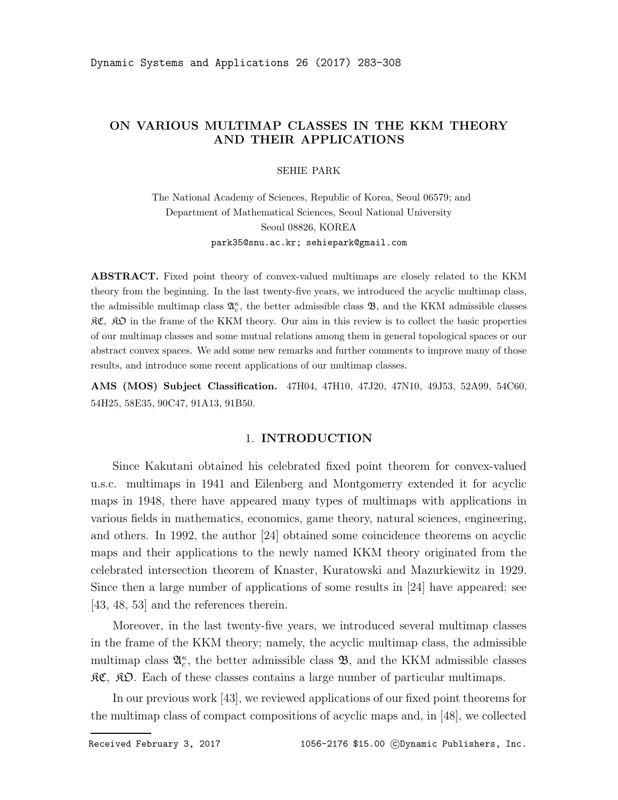## ON VARIOUS MULTIMAP CLASSES IN THE KKM THEORY AND THEIR APPLICATIONS

SEHIE PARK

The National Academy of Sciences, Republic of Korea, Seoul 06579; and Department of Mathematical Sciences, Seoul National University Seoul 08826, KOREA park35@snu.ac.kr; sehiepark@gmail.com

ABSTRACT. Fixed point theory of convex-valued multimaps are closely related to the KKM theory from the beginning. In the last twenty-five years, we introduced the acyclic multimap class, the admissible multimap class  $\mathfrak{A}_{c}^{\kappa}$ , the better admissible class  $\mathfrak{B}$ , and the KKM admissible classes  $R\mathfrak{C}, \mathfrak{R}\mathfrak{D}$  in the frame of the KKM theory. Our aim in this review is to collect the basic properties of our multimap classes and some mutual relations among them in general topological spaces or our abstract convex spaces. We add some new remarks and further comments to improve many of those results, and introduce some recent applications of our multimap classes.

AMS (MOS) Subject Classification. 47H04, 47H10, 47J20, 47N10, 49J53, 52A99, 54C60, 54H25, 58E35, 90C47, 91A13, 91B50.

### 1. INTRODUCTION

Since Kakutani obtained his celebrated fixed point theorem for convex-valued u.s.c. multimaps in 1941 and Eilenberg and Montgomerry extended it for acyclic maps in 1948, there have appeared many types of multimaps with applications in various fields in mathematics, economics, game theory, natural sciences, engineering, and others. In 1992, the author [24] obtained some coincidence theorems on acyclic maps and their applications to the newly named KKM theory originated from the celebrated intersection theorem of Knaster, Kuratowski and Mazurkiewitz in 1929. Since then a large number of applications of some results in [24] have appeared; see [43, 48, 53] and the references therein.

Moreover, in the last twenty-five years, we introduced several multimap classes in the frame of the KKM theory; namely, the acyclic multimap class, the admissible multimap class  $\mathfrak{A}_{c}^{\kappa}$ , the better admissible class  $\mathfrak{B}$ , and the KKM admissible classes  $\mathcal{RC}, \ \mathcal{RD}.$  Each of these classes contains a large number of particular multimaps.

In our previous work [43], we reviewed applications of our fixed point theorems for the multimap class of compact compositions of acyclic maps and, in [48], we collected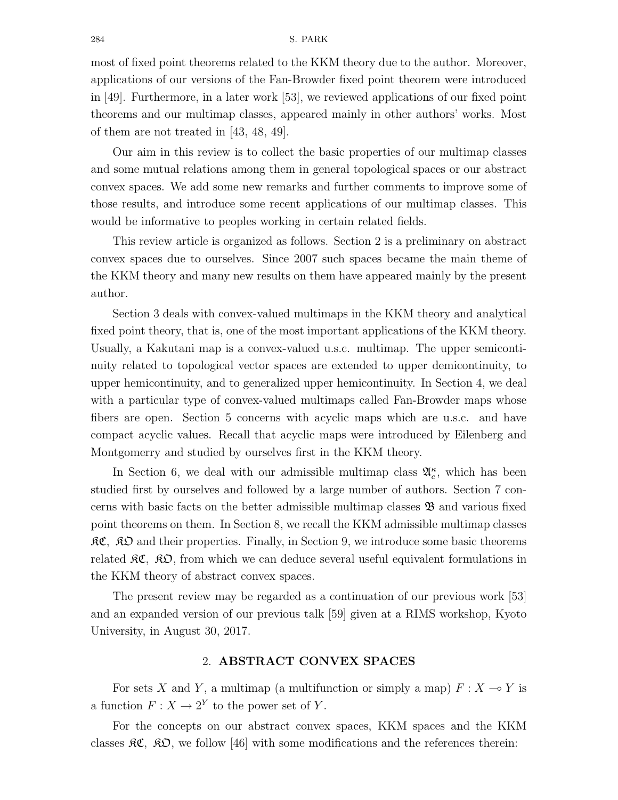most of fixed point theorems related to the KKM theory due to the author. Moreover, applications of our versions of the Fan-Browder fixed point theorem were introduced in [49]. Furthermore, in a later work [53], we reviewed applications of our fixed point theorems and our multimap classes, appeared mainly in other authors' works. Most of them are not treated in [43, 48, 49].

Our aim in this review is to collect the basic properties of our multimap classes and some mutual relations among them in general topological spaces or our abstract convex spaces. We add some new remarks and further comments to improve some of those results, and introduce some recent applications of our multimap classes. This would be informative to peoples working in certain related fields.

This review article is organized as follows. Section 2 is a preliminary on abstract convex spaces due to ourselves. Since 2007 such spaces became the main theme of the KKM theory and many new results on them have appeared mainly by the present author.

Section 3 deals with convex-valued multimaps in the KKM theory and analytical fixed point theory, that is, one of the most important applications of the KKM theory. Usually, a Kakutani map is a convex-valued u.s.c. multimap. The upper semicontinuity related to topological vector spaces are extended to upper demicontinuity, to upper hemicontinuity, and to generalized upper hemicontinuity. In Section 4, we deal with a particular type of convex-valued multimaps called Fan-Browder maps whose fibers are open. Section 5 concerns with acyclic maps which are u.s.c. and have compact acyclic values. Recall that acyclic maps were introduced by Eilenberg and Montgomerry and studied by ourselves first in the KKM theory.

In Section 6, we deal with our admissible multimap class  $\mathfrak{A}_{c}^{\kappa}$ , which has been studied first by ourselves and followed by a large number of authors. Section 7 concerns with basic facts on the better admissible multimap classes  $\mathfrak{B}$  and various fixed point theorems on them. In Section 8, we recall the KKM admissible multimap classes  $\mathcal{RC}, \ \mathcal{R}$  and their properties. Finally, in Section 9, we introduce some basic theorems related  $\mathfrak{RC}, \mathfrak{RD},$  from which we can deduce several useful equivalent formulations in the KKM theory of abstract convex spaces.

The present review may be regarded as a continuation of our previous work [53] and an expanded version of our previous talk [59] given at a RIMS workshop, Kyoto University, in August 30, 2017.

### 2. ABSTRACT CONVEX SPACES

For sets X and Y, a multimap (a multifunction or simply a map)  $F : X \longrightarrow Y$  is a function  $F: X \to 2^Y$  to the power set of Y.

For the concepts on our abstract convex spaces, KKM spaces and the KKM classes  $\mathcal{RC}, \ \mathcal{RD}, \text{ we follow [46] with some modifications and the references therein:}$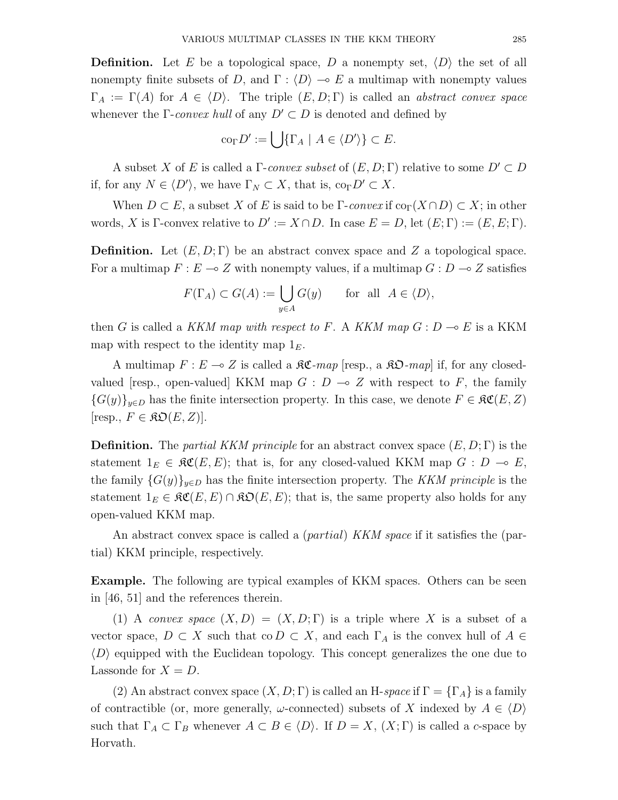**Definition.** Let E be a topological space, D a nonempty set,  $\langle D \rangle$  the set of all nonempty finite subsets of D, and  $\Gamma$ :  $\langle D \rangle \to E$  a multimap with nonempty values  $\Gamma_A := \Gamma(A)$  for  $A \in \langle D \rangle$ . The triple  $(E, D; \Gamma)$  is called an abstract convex space whenever the Γ-convex hull of any  $D' \subset D$  is denoted and defined by

$$
\mathrm{co}_{\Gamma}D':=\bigcup\{\Gamma_A\mid A\in\langle D'\rangle\}\subset E.
$$

A subset X of E is called a  $\Gamma$ -convex subset of  $(E, D; \Gamma)$  relative to some  $D' \subset D$ if, for any  $N \in \langle D' \rangle$ , we have  $\Gamma_N \subset X$ , that is,  $\text{co}_{\Gamma} D' \subset X$ .

When  $D \subset E$ , a subset X of E is said to be  $\Gamma$ -convex if  $\text{co}_{\Gamma}(X \cap D) \subset X$ ; in other words, X is Γ-convex relative to  $D' := X \cap D$ . In case  $E = D$ , let  $(E; \Gamma) := (E, E; \Gamma)$ .

**Definition.** Let  $(E, D; \Gamma)$  be an abstract convex space and Z a topological space. For a multimap  $F: E \to Z$  with nonempty values, if a multimap  $G: D \to Z$  satisfies

$$
F(\Gamma_A) \subset G(A) := \bigcup_{y \in A} G(y) \quad \text{for all } A \in \langle D \rangle,
$$

then G is called a KKM map with respect to F. A KKM map  $G: D \multimap E$  is a KKM map with respect to the identity map  $1<sub>E</sub>$ .

A multimap  $F: E \to Z$  is called a  $\mathcal{RC}$ -map [resp., a  $\mathcal{RD}$ -map] if, for any closedvalued [resp., open-valued] KKM map  $G : D \to Z$  with respect to F, the family  ${G(y)}_{y\in D}$  has the finite intersection property. In this case, we denote  $F \in \mathcal{RC}(E, Z)$ [resp.,  $F \in \mathfrak{KD}(E, Z)$ ].

**Definition.** The *partial KKM principle* for an abstract convex space  $(E, D; \Gamma)$  is the statement  $1_E \in \mathfrak{RC}(E, E)$ ; that is, for any closed-valued KKM map  $G : D \multimap E$ , the family  $\{G(y)\}_{y\in D}$  has the finite intersection property. The KKM principle is the statement  $1_E \in \mathfrak{RC}(E, E) \cap \mathfrak{RO}(E, E)$ ; that is, the same property also holds for any open-valued KKM map.

An abstract convex space is called a *(partial) KKM space* if it satisfies the *(par*tial) KKM principle, respectively.

Example. The following are typical examples of KKM spaces. Others can be seen in [46, 51] and the references therein.

(1) A convex space  $(X, D) = (X, D; \Gamma)$  is a triple where X is a subset of a vector space,  $D \subset X$  such that co  $D \subset X$ , and each  $\Gamma_A$  is the convex hull of  $A \in$  $\langle D \rangle$  equipped with the Euclidean topology. This concept generalizes the one due to Lassonde for  $X = D$ .

(2) An abstract convex space  $(X, D; \Gamma)$  is called an H-space if  $\Gamma = \{\Gamma_A\}$  is a family of contractible (or, more generally,  $\omega$ -connected) subsets of X indexed by  $A \in \langle D \rangle$ such that  $\Gamma_A \subset \Gamma_B$  whenever  $A \subset B \in \langle D \rangle$ . If  $D = X$ ,  $(X; \Gamma)$  is called a c-space by Horvath.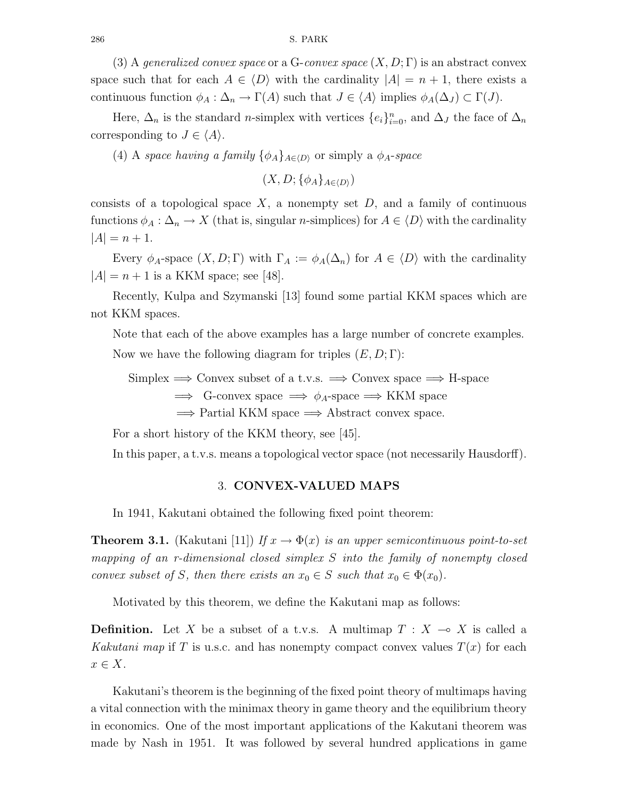(3) A generalized convex space or a G-convex space  $(X, D; \Gamma)$  is an abstract convex space such that for each  $A \in \langle D \rangle$  with the cardinality  $|A| = n + 1$ , there exists a continuous function  $\phi_A : \Delta_n \to \Gamma(A)$  such that  $J \in \langle A \rangle$  implies  $\phi_A(\Delta_J) \subset \Gamma(J)$ .

Here,  $\Delta_n$  is the standard *n*-simplex with vertices  $\{e_i\}_{i=0}^n$ , and  $\Delta_j$  the face of  $\Delta_n$ corresponding to  $J \in \langle A \rangle$ .

(4) A space having a family  $\{\phi_A\}_{A\in(D)}$  or simply a  $\phi_A$ -space

 $(X, D; {\phi_A}_{A\in(D)})$ 

consists of a topological space  $X$ , a nonempty set  $D$ , and a family of continuous functions  $\phi_A : \Delta_n \to X$  (that is, singular *n*-simplices) for  $A \in \langle D \rangle$  with the cardinality  $|A| = n + 1.$ 

Every  $\phi_A$ -space  $(X, D; \Gamma)$  with  $\Gamma_A := \phi_A(\Delta_n)$  for  $A \in \langle D \rangle$  with the cardinality  $|A| = n + 1$  is a KKM space; see [48].

Recently, Kulpa and Szymanski [13] found some partial KKM spaces which are not KKM spaces.

Note that each of the above examples has a large number of concrete examples. Now we have the following diagram for triples  $(E, D; \Gamma)$ :

 $Simplex \Longrightarrow$  Convex subset of a t.v.s.  $\Longrightarrow$  Convex space  $\Longrightarrow$  H-space  $\implies$  G-convex space  $\implies \phi_A$ -space  $\implies$  KKM space  $\implies$  Partial KKM space  $\implies$  Abstract convex space.

For a short history of the KKM theory, see [45].

In this paper, a t.v.s. means a topological vector space (not necessarily Hausdorff).

### 3. CONVEX-VALUED MAPS

In 1941, Kakutani obtained the following fixed point theorem:

**Theorem 3.1.** (Kakutani [11]) If  $x \to \Phi(x)$  is an upper semicontinuous point-to-set mapping of an r-dimensional closed simplex S into the family of nonempty closed convex subset of S, then there exists an  $x_0 \in S$  such that  $x_0 \in \Phi(x_0)$ .

Motivated by this theorem, we define the Kakutani map as follows:

**Definition.** Let X be a subset of a t.v.s. A multimap  $T : X \to X$  is called a Kakutani map if T is u.s.c. and has nonempty compact convex values  $T(x)$  for each  $x \in X$ .

Kakutani's theorem is the beginning of the fixed point theory of multimaps having a vital connection with the minimax theory in game theory and the equilibrium theory in economics. One of the most important applications of the Kakutani theorem was made by Nash in 1951. It was followed by several hundred applications in game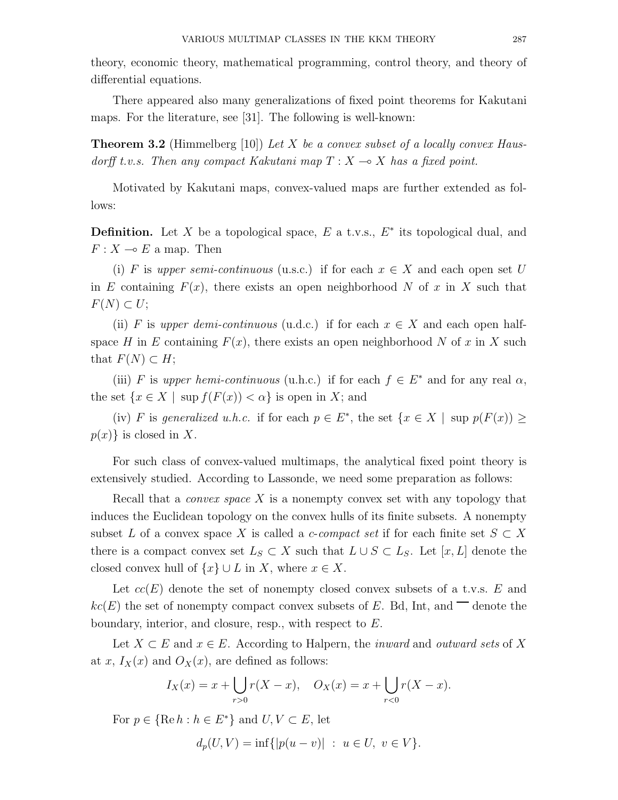theory, economic theory, mathematical programming, control theory, and theory of differential equations.

There appeared also many generalizations of fixed point theorems for Kakutani maps. For the literature, see [31]. The following is well-known:

**Theorem 3.2** (Himmelberg [10]) Let X be a convex subset of a locally convex Hausdorff t.v.s. Then any compact Kakutani map  $T : X \to X$  has a fixed point.

Motivated by Kakutani maps, convex-valued maps are further extended as follows:

**Definition.** Let X be a topological space,  $E$  a t.v.s.,  $E^*$  its topological dual, and  $F: X \multimap E$  a map. Then

(i) F is upper semi-continuous (u.s.c.) if for each  $x \in X$  and each open set U in E containing  $F(x)$ , there exists an open neighborhood N of x in X such that  $F(N) \subset U;$ 

(ii) F is upper demi-continuous (u.d.c.) if for each  $x \in X$  and each open halfspace H in E containing  $F(x)$ , there exists an open neighborhood N of x in X such that  $F(N) \subset H$ ;

(iii) F is upper hemi-continuous (u.h.c.) if for each  $f \in E^*$  and for any real  $\alpha$ , the set  $\{x \in X \mid \text{sup } f(F(x)) < \alpha\}$  is open in X; and

(iv) F is generalized u.h.c. if for each  $p \in E^*$ , the set  $\{x \in X \mid \text{sup } p(F(x)) \geq 0\}$  $p(x)$  is closed in X.

For such class of convex-valued multimaps, the analytical fixed point theory is extensively studied. According to Lassonde, we need some preparation as follows:

Recall that a *convex space*  $X$  is a nonempty convex set with any topology that induces the Euclidean topology on the convex hulls of its finite subsets. A nonempty subset L of a convex space X is called a c-compact set if for each finite set  $S \subset X$ there is a compact convex set  $L_S \subset X$  such that  $L \cup S \subset L_S$ . Let  $[x, L]$  denote the closed convex hull of  $\{x\} \cup L$  in X, where  $x \in X$ .

Let  $cc(E)$  denote the set of nonempty closed convex subsets of a t.v.s. E and  $kc(E)$  the set of nonempty compact convex subsets of E. Bd, Int, and  $\Box$  denote the boundary, interior, and closure, resp., with respect to E.

Let  $X \subset E$  and  $x \in E$ . According to Halpern, the *inward* and *outward sets* of X at x,  $I_X(x)$  and  $O_X(x)$ , are defined as follows:

$$
I_X(x) = x + \bigcup_{r>0} r(X - x), \quad O_X(x) = x + \bigcup_{r<0} r(X - x).
$$

For  $p \in \{ \text{Re } h : h \in E^* \}$  and  $U, V \subset E$ , let

$$
d_p(U, V) = \inf\{|p(u - v)| \ : \ u \in U, \ v \in V\}.
$$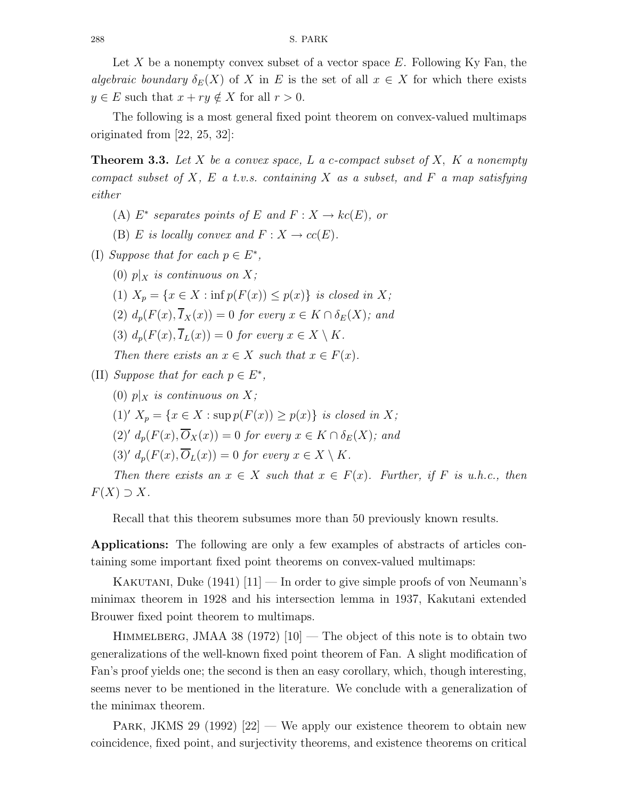Let X be a nonempty convex subset of a vector space  $E$ . Following Ky Fan, the algebraic boundary  $\delta_E(X)$  of X in E is the set of all  $x \in X$  for which there exists  $y \in E$  such that  $x + ry \notin X$  for all  $r > 0$ .

The following is a most general fixed point theorem on convex-valued multimaps originated from [22, 25, 32]:

**Theorem 3.3.** Let X be a convex space, L a c-compact subset of X, K a nonempty compact subset of X, E a t.v.s. containing X as a subset, and F a map satisfying either

- (A)  $E^*$  separates points of E and  $F: X \to kc(E)$ , or
- (B) E is locally convex and  $F: X \to cc(E)$ .
- (I) Suppose that for each  $p \in E^*$ ,
	- (0)  $p|_X$  is continuous on X;
	- (1)  $X_p = \{x \in X : \inf p(F(x)) \leq p(x)\}\$ is closed in X;
	- (2)  $d_p(F(x), \overline{I}_X(x)) = 0$  for every  $x \in K \cap \delta_E(X)$ ; and
	- (3)  $d_p(F(x), \overline{I}_L(x)) = 0$  for every  $x \in X \setminus K$ .
	- Then there exists an  $x \in X$  such that  $x \in F(x)$ .
- (II) Suppose that for each  $p \in E^*$ ,
	- (0)  $p|_X$  is continuous on X;
	- (1)'  $X_p = \{x \in X : \sup p(F(x)) \geq p(x)\}\$ is closed in X;
	- $(2)' d_p(F(x), \overline{O}_X(x)) = 0$  for every  $x \in K \cap \delta_E(X)$ ; and
	- (3)'  $d_p(F(x), \overline{O}_L(x)) = 0$  for every  $x \in X \setminus K$ .

Then there exists an  $x \in X$  such that  $x \in F(x)$ . Further, if F is u.h.c., then  $F(X) \supset X$ .

Recall that this theorem subsumes more than 50 previously known results.

Applications: The following are only a few examples of abstracts of articles containing some important fixed point theorems on convex-valued multimaps:

KAKUTANI, Duke  $(1941)$   $[11]$  — In order to give simple proofs of von Neumann's minimax theorem in 1928 and his intersection lemma in 1937, Kakutani extended Brouwer fixed point theorem to multimaps.

HIMMELBERG, JMAA 38 (1972)  $[10]$  — The object of this note is to obtain two generalizations of the well-known fixed point theorem of Fan. A slight modification of Fan's proof yields one; the second is then an easy corollary, which, though interesting, seems never to be mentioned in the literature. We conclude with a generalization of the minimax theorem.

PARK, JKMS 29 (1992)  $[22]$  — We apply our existence theorem to obtain new coincidence, fixed point, and surjectivity theorems, and existence theorems on critical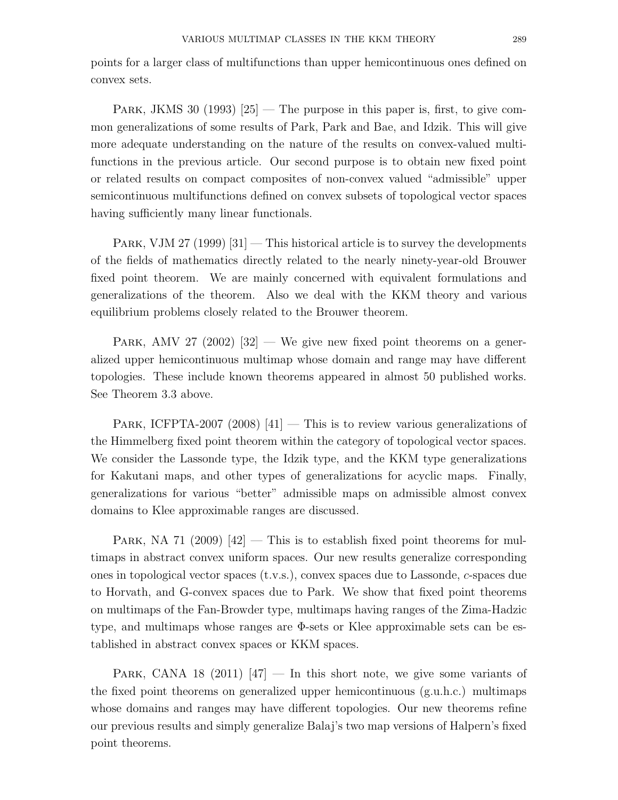points for a larger class of multifunctions than upper hemicontinuous ones defined on convex sets.

PARK, JKMS 30 (1993)  $|25|$  — The purpose in this paper is, first, to give common generalizations of some results of Park, Park and Bae, and Idzik. This will give more adequate understanding on the nature of the results on convex-valued multifunctions in the previous article. Our second purpose is to obtain new fixed point or related results on compact composites of non-convex valued "admissible" upper semicontinuous multifunctions defined on convex subsets of topological vector spaces having sufficiently many linear functionals.

PARK, VJM 27 (1999)  $[31]$  – This historical article is to survey the developments of the fields of mathematics directly related to the nearly ninety-year-old Brouwer fixed point theorem. We are mainly concerned with equivalent formulations and generalizations of the theorem. Also we deal with the KKM theory and various equilibrium problems closely related to the Brouwer theorem.

PARK, AMV 27 (2002)  $[32]$  — We give new fixed point theorems on a generalized upper hemicontinuous multimap whose domain and range may have different topologies. These include known theorems appeared in almost 50 published works. See Theorem 3.3 above.

PARK, ICFPTA-2007 (2008)  $|41|$  — This is to review various generalizations of the Himmelberg fixed point theorem within the category of topological vector spaces. We consider the Lassonde type, the Idzik type, and the KKM type generalizations for Kakutani maps, and other types of generalizations for acyclic maps. Finally, generalizations for various "better" admissible maps on admissible almost convex domains to Klee approximable ranges are discussed.

PARK, NA 71 (2009)  $[42]$  – This is to establish fixed point theorems for multimaps in abstract convex uniform spaces. Our new results generalize corresponding ones in topological vector spaces (t.v.s.), convex spaces due to Lassonde, c-spaces due to Horvath, and G-convex spaces due to Park. We show that fixed point theorems on multimaps of the Fan-Browder type, multimaps having ranges of the Zima-Hadzic type, and multimaps whose ranges are Φ-sets or Klee approximable sets can be established in abstract convex spaces or KKM spaces.

PARK, CANA 18 (2011)  $\left[47\right]$  — In this short note, we give some variants of the fixed point theorems on generalized upper hemicontinuous (g.u.h.c.) multimaps whose domains and ranges may have different topologies. Our new theorems refine our previous results and simply generalize Balaj's two map versions of Halpern's fixed point theorems.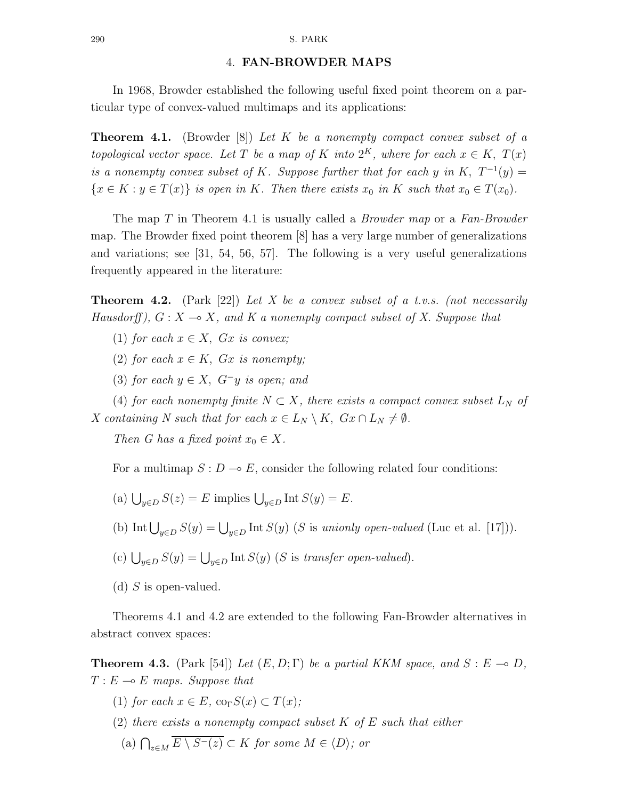#### 290 S. PARK

## 4. FAN-BROWDER MAPS

In 1968, Browder established the following useful fixed point theorem on a particular type of convex-valued multimaps and its applications:

**Theorem 4.1.** (Browder [8]) Let K be a nonempty compact convex subset of a topological vector space. Let T be a map of K into  $2^K$ , where for each  $x \in K$ ,  $T(x)$ is a nonempty convex subset of K. Suppose further that for each y in K,  $T^{-1}(y) =$  ${x \in K : y \in T(x)}$  is open in K. Then there exists  $x_0$  in K such that  $x_0 \in T(x_0)$ .

The map T in Theorem 4.1 is usually called a *Browder map* or a *Fan-Browder* map. The Browder fixed point theorem [8] has a very large number of generalizations and variations; see [31, 54, 56, 57]. The following is a very useful generalizations frequently appeared in the literature:

**Theorem 4.2.** (Park [22]) Let X be a convex subset of a t.v.s. (not necessarily Hausdorff),  $G: X \rightarrow X$ , and K a nonempty compact subset of X. Suppose that

- (1) for each  $x \in X$ ,  $Gx$  is convex;
- (2) for each  $x \in K$ ,  $Gx$  is nonempty;
- (3) for each  $y \in X$ ,  $G^-y$  is open; and

(4) for each nonempty finite  $N \subset X$ , there exists a compact convex subset  $L_N$  of X containing N such that for each  $x \in L_N \setminus K$ ,  $Gx \cap L_N \neq \emptyset$ .

Then G has a fixed point  $x_0 \in X$ .

For a multimap  $S: D \to E$ , consider the following related four conditions:

- (a)  $\bigcup_{y \in D} S(z) = E$  implies  $\bigcup_{y \in D} \text{Int } S(y) = E$ .
- (b) Int  $\bigcup_{y\in D} S(y) = \bigcup_{y\in D} \text{Int } S(y)$  (S is unionly open-valued (Luc et al. [17])).

(c) 
$$
\bigcup_{y \in D} S(y) = \bigcup_{y \in D} \text{Int } S(y)
$$
 (*S* is *transfer open-valued*).

(d) S is open-valued.

Theorems 4.1 and 4.2 are extended to the following Fan-Browder alternatives in abstract convex spaces:

**Theorem 4.3.** (Park [54]) Let  $(E, D; \Gamma)$  be a partial KKM space, and  $S : E \to D$ ,  $T: E \multimap E$  maps. Suppose that

- (1) for each  $x \in E$ , co<sub> $\Gamma$ </sub> $S(x) \subset T(x)$ ;
- (2) there exists a nonempty compact subset  $K$  of  $E$  such that either (a)  $\bigcap_{z \in M} E \setminus S^{-}(z) \subset K$  for some  $M \in \langle D \rangle$ ; or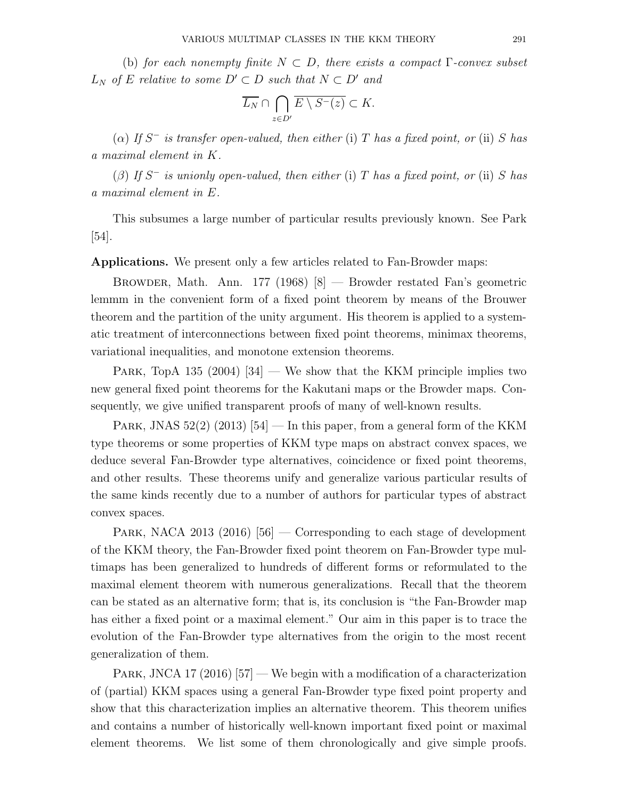(b) for each nonempty finite  $N \subset D$ , there exists a compact  $\Gamma$ -convex subset  $L_N$  of E relative to some  $D' \subset D$  such that  $N \subset D'$  and

$$
\overline{L_N} \cap \bigcap_{z \in D'} \overline{E \setminus S^-(z)} \subset K.
$$

( $\alpha$ ) If S<sup>-</sup> is transfer open-valued, then either (i) T has a fixed point, or (ii) S has a maximal element in K.

 $(\beta)$  If S<sup>-</sup> is unionly open-valued, then either (i) T has a fixed point, or (ii) S has a maximal element in E.

This subsumes a large number of particular results previously known. See Park [54].

Applications. We present only a few articles related to Fan-Browder maps:

Browder, Math. Ann. 177 (1968) [8] — Browder restated Fan's geometric lemmm in the convenient form of a fixed point theorem by means of the Brouwer theorem and the partition of the unity argument. His theorem is applied to a systematic treatment of interconnections between fixed point theorems, minimax theorems, variational inequalities, and monotone extension theorems.

PARK, TopA 135 (2004)  $[34]$  — We show that the KKM principle implies two new general fixed point theorems for the Kakutani maps or the Browder maps. Consequently, we give unified transparent proofs of many of well-known results.

PARK, JNAS  $52(2)$   $(2013)$   $[54]$  — In this paper, from a general form of the KKM type theorems or some properties of KKM type maps on abstract convex spaces, we deduce several Fan-Browder type alternatives, coincidence or fixed point theorems, and other results. These theorems unify and generalize various particular results of the same kinds recently due to a number of authors for particular types of abstract convex spaces.

PARK, NACA 2013 (2016)  $[56]$  — Corresponding to each stage of development of the KKM theory, the Fan-Browder fixed point theorem on Fan-Browder type multimaps has been generalized to hundreds of different forms or reformulated to the maximal element theorem with numerous generalizations. Recall that the theorem can be stated as an alternative form; that is, its conclusion is "the Fan-Browder map has either a fixed point or a maximal element." Our aim in this paper is to trace the evolution of the Fan-Browder type alternatives from the origin to the most recent generalization of them.

PARK, JNCA 17 (2016) [57] — We begin with a modification of a characterization of (partial) KKM spaces using a general Fan-Browder type fixed point property and show that this characterization implies an alternative theorem. This theorem unifies and contains a number of historically well-known important fixed point or maximal element theorems. We list some of them chronologically and give simple proofs.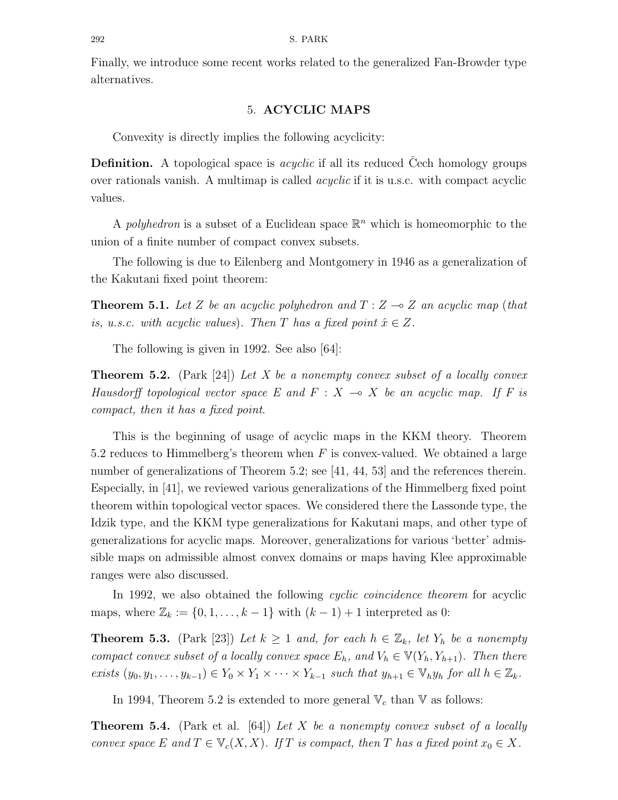Finally, we introduce some recent works related to the generalized Fan-Browder type alternatives.

### 5. ACYCLIC MAPS

Convexity is directly implies the following acyclicity:

**Definition.** A topological space is *acyclic* if all its reduced Cech homology groups over rationals vanish. A multimap is called *acyclic* if it is u.s.c. with compact acyclic values.

A polyhedron is a subset of a Euclidean space  $\mathbb{R}^n$  which is homeomorphic to the union of a finite number of compact convex subsets.

The following is due to Eilenberg and Montgomery in 1946 as a generalization of the Kakutani fixed point theorem:

**Theorem 5.1.** Let Z be an acyclic polyhedron and  $T : Z \rightarrow Z$  an acyclic map (that is, u.s.c. with acyclic values). Then T has a fixed point  $\hat{x} \in Z$ .

The following is given in 1992. See also [64]:

**Theorem 5.2.** (Park [24]) Let X be a nonempty convex subset of a locally convex Hausdorff topological vector space E and  $F : X \multimap X$  be an acyclic map. If F is compact, then it has a fixed point.

This is the beginning of usage of acyclic maps in the KKM theory. Theorem 5.2 reduces to Himmelberg's theorem when  $F$  is convex-valued. We obtained a large number of generalizations of Theorem 5.2; see [41, 44, 53] and the references therein. Especially, in [41], we reviewed various generalizations of the Himmelberg fixed point theorem within topological vector spaces. We considered there the Lassonde type, the Idzik type, and the KKM type generalizations for Kakutani maps, and other type of generalizations for acyclic maps. Moreover, generalizations for various 'better' admissible maps on admissible almost convex domains or maps having Klee approximable ranges were also discussed.

In 1992, we also obtained the following *cyclic coincidence theorem* for acyclic maps, where  $\mathbb{Z}_k := \{0, 1, \ldots, k-1\}$  with  $(k-1)+1$  interpreted as 0:

**Theorem 5.3.** (Park [23]) Let  $k \ge 1$  and, for each  $h \in \mathbb{Z}_k$ , let  $Y_h$  be a nonempty compact convex subset of a locally convex space  $E_h$ , and  $V_h \in V(Y_h, Y_{h+1})$ . Then there exists  $(y_0, y_1, \ldots, y_{k-1}) \in Y_0 \times Y_1 \times \cdots \times Y_{k-1}$  such that  $y_{h+1} \in V_h y_h$  for all  $h \in \mathbb{Z}_k$ .

In 1994, Theorem 5.2 is extended to more general  $V_c$  than V as follows:

**Theorem 5.4.** (Park et al. [64]) Let X be a nonempty convex subset of a locally convex space E and  $T \in V_c(X,X)$ . If T is compact, then T has a fixed point  $x_0 \in X$ .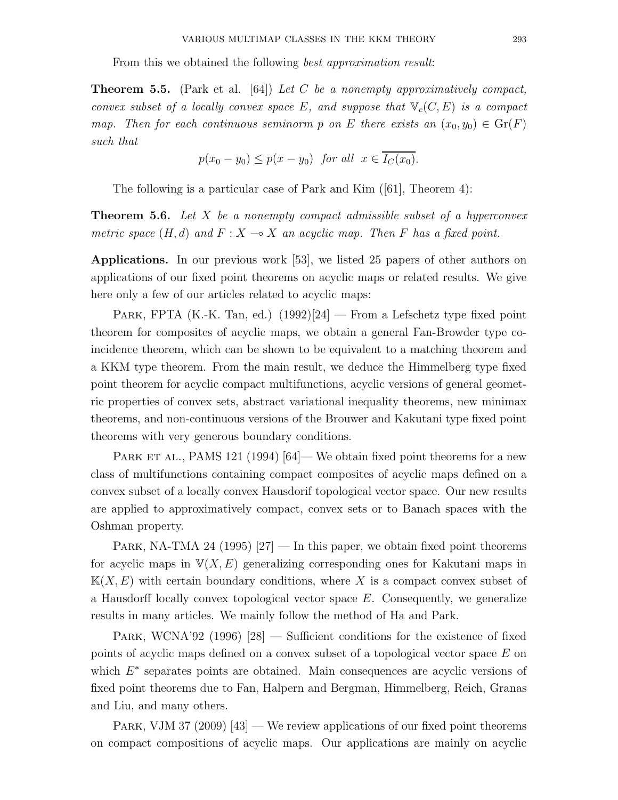From this we obtained the following *best approximation result:* 

**Theorem 5.5.** (Park et al. [64]) Let C be a nonempty approximatively compact, convex subset of a locally convex space E, and suppose that  $\mathbb{V}_c(C, E)$  is a compact map. Then for each continuous seminorm p on E there exists an  $(x_0, y_0) \in \text{Gr}(F)$ such that

$$
p(x_0 - y_0) \le p(x - y_0) \text{ for all } x \in \overline{I_C(x_0)}.
$$

The following is a particular case of Park and Kim ([61], Theorem 4):

**Theorem 5.6.** Let X be a nonempty compact admissible subset of a hyperconvex metric space  $(H, d)$  and  $F : X \to X$  an acyclic map. Then F has a fixed point.

Applications. In our previous work [53], we listed 25 papers of other authors on applications of our fixed point theorems on acyclic maps or related results. We give here only a few of our articles related to acyclic maps:

PARK, FPTA (K.-K. Tan, ed.)  $(1992)[24]$  — From a Lefschetz type fixed point theorem for composites of acyclic maps, we obtain a general Fan-Browder type coincidence theorem, which can be shown to be equivalent to a matching theorem and a KKM type theorem. From the main result, we deduce the Himmelberg type fixed point theorem for acyclic compact multifunctions, acyclic versions of general geometric properties of convex sets, abstract variational inequality theorems, new minimax theorems, and non-continuous versions of the Brouwer and Kakutani type fixed point theorems with very generous boundary conditions.

PARK ET AL., PAMS 121 (1994)  $[64]$  We obtain fixed point theorems for a new class of multifunctions containing compact composites of acyclic maps defined on a convex subset of a locally convex Hausdorif topological vector space. Our new results are applied to approximatively compact, convex sets or to Banach spaces with the Oshman property.

PARK, NA-TMA 24 (1995)  $[27]$  — In this paper, we obtain fixed point theorems for acyclic maps in  $\mathbb{V}(X, E)$  generalizing corresponding ones for Kakutani maps in  $K(X, E)$  with certain boundary conditions, where X is a compact convex subset of a Hausdorff locally convex topological vector space  $E$ . Consequently, we generalize results in many articles. We mainly follow the method of Ha and Park.

PARK, WCNA'92 (1996)  $[28]$  — Sufficient conditions for the existence of fixed points of acyclic maps defined on a convex subset of a topological vector space E on which  $E^*$  separates points are obtained. Main consequences are acyclic versions of fixed point theorems due to Fan, Halpern and Bergman, Himmelberg, Reich, Granas and Liu, and many others.

PARK, VJM 37 (2009) [43] — We review applications of our fixed point theorems on compact compositions of acyclic maps. Our applications are mainly on acyclic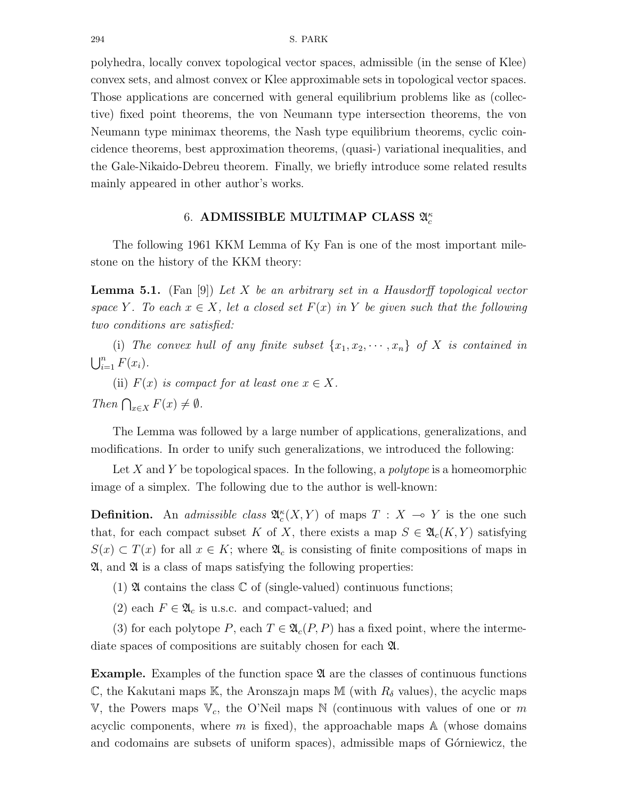polyhedra, locally convex topological vector spaces, admissible (in the sense of Klee) convex sets, and almost convex or Klee approximable sets in topological vector spaces. Those applications are concerned with general equilibrium problems like as (collective) fixed point theorems, the von Neumann type intersection theorems, the von Neumann type minimax theorems, the Nash type equilibrium theorems, cyclic coincidence theorems, best approximation theorems, (quasi-) variational inequalities, and the Gale-Nikaido-Debreu theorem. Finally, we briefly introduce some related results mainly appeared in other author's works.

# 6. ADMISSIBLE MULTIMAP CLASS  $\mathfrak{A}^{\kappa}_c$

The following 1961 KKM Lemma of Ky Fan is one of the most important milestone on the history of the KKM theory:

**Lemma 5.1.** (Fan [9]) Let X be an arbitrary set in a Hausdorff topological vector space Y. To each  $x \in X$ , let a closed set  $F(x)$  in Y be given such that the following two conditions are satisfied:

(i) The convex hull of any finite subset  $\{x_1, x_2, \dots, x_n\}$  of X is contained in  $\bigcup_{i=1}^n F(x_i)$ .

(ii)  $F(x)$  is compact for at least one  $x \in X$ . Then  $\bigcap_{x\in X} F(x) \neq \emptyset$ .

The Lemma was followed by a large number of applications, generalizations, and modifications. In order to unify such generalizations, we introduced the following:

Let X and Y be topological spaces. In the following, a *polytope* is a homeomorphic image of a simplex. The following due to the author is well-known:

**Definition.** An *admissible class*  $\mathfrak{A}_{c}^{\kappa}(X, Y)$  of maps  $T : X \to Y$  is the one such that, for each compact subset K of X, there exists a map  $S \in \mathfrak{A}_{c}(K, Y)$  satisfying  $S(x) \subset T(x)$  for all  $x \in K$ ; where  $\mathfrak{A}_c$  is consisting of finite compositions of maps in  $\mathfrak{A}$ , and  $\mathfrak{A}$  is a class of maps satisfying the following properties:

- (1)  $\mathfrak A$  contains the class  $\mathbb C$  of (single-valued) continuous functions;
- (2) each  $F \in \mathfrak{A}_c$  is u.s.c. and compact-valued; and

(3) for each polytope P, each  $T \in \mathfrak{A}_c(P, P)$  has a fixed point, where the intermediate spaces of compositions are suitably chosen for each A.

Example. Examples of the function space  $\mathfrak A$  are the classes of continuous functions C, the Kakutani maps K, the Aronszajn maps M (with  $R_{\delta}$  values), the acyclic maps V, the Powers maps  $V_c$ , the O'Neil maps N (continuous with values of one or m acyclic components, where m is fixed), the approachable maps  $\mathbb A$  (whose domains and codomains are subsets of uniform spaces), admissible maps of Górniewicz, the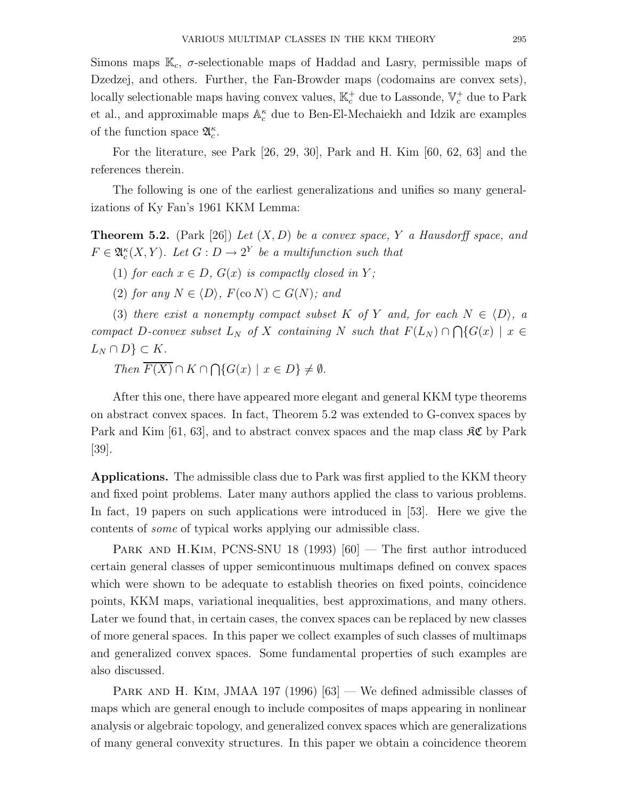Simons maps  $\mathbb{K}_c$ ,  $\sigma$ -selectionable maps of Haddad and Lasry, permissible maps of Dzedzej, and others. Further, the Fan-Browder maps (codomains are convex sets), locally selectionable maps having convex values,  $\mathbb{K}^+_c$  due to Lassonde,  $\mathbb{V}^+_c$  due to Park et al., and approximable maps  $\mathbb{A}_c^{\kappa}$  due to Ben-El-Mechaiekh and Idzik are examples of the function space  $\mathfrak{A}_{c}^{\kappa}$ .

For the literature, see Park [26, 29, 30], Park and H. Kim [60, 62, 63] and the references therein.

The following is one of the earliest generalizations and unifies so many generalizations of Ky Fan's 1961 KKM Lemma:

**Theorem 5.2.** (Park [26]) Let  $(X, D)$  be a convex space, Y a Hausdorff space, and  $F \in \mathfrak{A}_{c}^{\kappa}(X, Y)$ . Let  $G: D \to 2^Y$  be a multifunction such that

(1) for each  $x \in D$ ,  $G(x)$  is compactly closed in Y;

(2) for any  $N \in \langle D \rangle$ ,  $F(\text{co } N) \subset G(N)$ ; and

(3) there exist a nonempty compact subset K of Y and, for each  $N \in \langle D \rangle$ , a compact D-convex subset  $L_N$  of X containing N such that  $F(L_N) \cap \bigcap \{G(x) \mid x \in$  $L_N \cap D$   $\subset K$ .

Then  $F(X) \cap K \cap \bigcap \{G(x) \mid x \in D\} \neq \emptyset$ .

After this one, there have appeared more elegant and general KKM type theorems on abstract convex spaces. In fact, Theorem 5.2 was extended to G-convex spaces by Park and Kim [61, 63], and to abstract convex spaces and the map class  $\mathcal{RC}$  by Park [39].

Applications. The admissible class due to Park was first applied to the KKM theory and fixed point problems. Later many authors applied the class to various problems. In fact, 19 papers on such applications were introduced in [53]. Here we give the contents of some of typical works applying our admissible class.

PARK AND H.KIM, PCNS-SNU 18 (1993)  $[60]$  – The first author introduced certain general classes of upper semicontinuous multimaps defined on convex spaces which were shown to be adequate to establish theories on fixed points, coincidence points, KKM maps, variational inequalities, best approximations, and many others. Later we found that, in certain cases, the convex spaces can be replaced by new classes of more general spaces. In this paper we collect examples of such classes of multimaps and generalized convex spaces. Some fundamental properties of such examples are also discussed.

PARK AND H. KIM, JMAA 197 (1996)  $[63]$  — We defined admissible classes of maps which are general enough to include composites of maps appearing in nonlinear analysis or algebraic topology, and generalized convex spaces which are generalizations of many general convexity structures. In this paper we obtain a coincidence theorem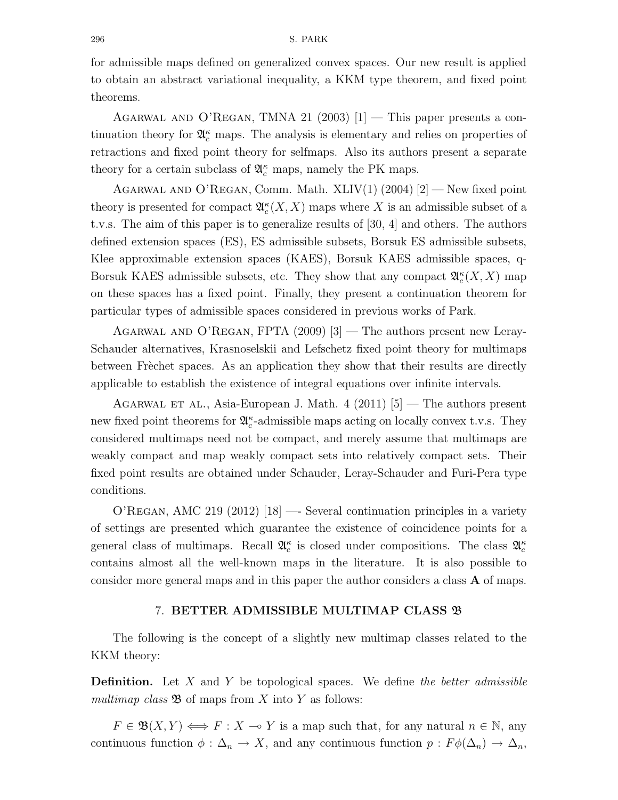### 296 S. PARK

for admissible maps defined on generalized convex spaces. Our new result is applied to obtain an abstract variational inequality, a KKM type theorem, and fixed point theorems.

AGARWAL AND O'REGAN, TMNA 21 (2003)  $[1]$  — This paper presents a continuation theory for  $\mathfrak{A}_{c}^{\kappa}$  maps. The analysis is elementary and relies on properties of retractions and fixed point theory for selfmaps. Also its authors present a separate theory for a certain subclass of  $\mathfrak{A}_c^\kappa$  maps, namely the PK maps.

AGARWAL AND O'REGAN, Comm. Math. XLIV $(1)$   $(2004)$   $[2]$  — New fixed point theory is presented for compact  $\mathfrak{A}_c^{\kappa}(X,X)$  maps where X is an admissible subset of a t.v.s. The aim of this paper is to generalize results of [30, 4] and others. The authors defined extension spaces (ES), ES admissible subsets, Borsuk ES admissible subsets, Klee approximable extension spaces (KAES), Borsuk KAES admissible spaces, q-Borsuk KAES admissible subsets, etc. They show that any compact  $\mathfrak{A}_{c}^{\kappa}(X,X)$  map on these spaces has a fixed point. Finally, they present a continuation theorem for particular types of admissible spaces considered in previous works of Park.

Agarwal and O'Regan, FPTA (2009) [3] — The authors present new Leray-Schauder alternatives, Krasnoselskii and Lefschetz fixed point theory for multimaps between Frèchet spaces. As an application they show that their results are directly applicable to establish the existence of integral equations over infinite intervals.

AGARWAL ET AL., Asia-European J. Math. 4 (2011)  $|5|$  — The authors present new fixed point theorems for  $\mathfrak{A}_c^{\kappa}$ -admissible maps acting on locally convex t.v.s. They considered multimaps need not be compact, and merely assume that multimaps are weakly compact and map weakly compact sets into relatively compact sets. Their fixed point results are obtained under Schauder, Leray-Schauder and Furi-Pera type conditions.

O'Regan, AMC 219 (2012) [18] —- Several continuation principles in a variety of settings are presented which guarantee the existence of coincidence points for a general class of multimaps. Recall  $\mathfrak{A}_{c}^{\kappa}$  is closed under compositions. The class  $\mathfrak{A}_{c}^{\kappa}$ contains almost all the well-known maps in the literature. It is also possible to consider more general maps and in this paper the author considers a class A of maps.

### 7. BETTER ADMISSIBLE MULTIMAP CLASS B

The following is the concept of a slightly new multimap classes related to the KKM theory:

**Definition.** Let  $X$  and  $Y$  be topological spaces. We define the better admissible multimap class  $\mathfrak{B}$  of maps from X into Y as follows:

 $F \in \mathfrak{B}(X,Y) \Longleftrightarrow F : X \multimap Y$  is a map such that, for any natural  $n \in \mathbb{N}$ , any continuous function  $\phi : \Delta_n \to X$ , and any continuous function  $p : F\phi(\Delta_n) \to \Delta_n$ ,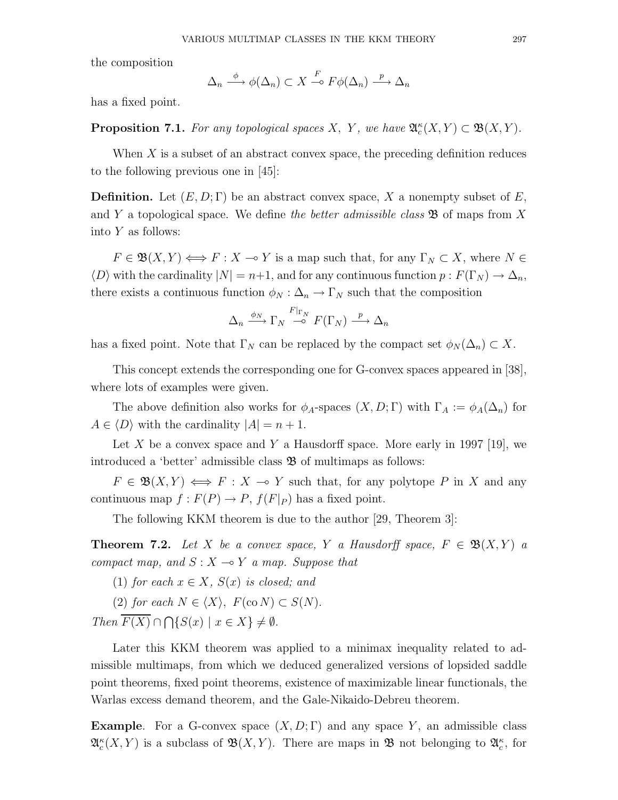the composition

$$
\Delta_n \xrightarrow{\phi} \phi(\Delta_n) \subset X \xrightarrow{F} F\phi(\Delta_n) \xrightarrow{p} \Delta_n
$$

has a fixed point.

**Proposition 7.1.** For any topological spaces X, Y, we have  $\mathfrak{A}_{c}^{\kappa}(X, Y) \subset \mathfrak{B}(X, Y)$ .

When  $X$  is a subset of an abstract convex space, the preceding definition reduces to the following previous one in [45]:

**Definition.** Let  $(E, D; \Gamma)$  be an abstract convex space, X a nonempty subset of E, and Y a topological space. We define the better admissible class  $\mathfrak{B}$  of maps from X into Y as follows:

 $F \in \mathfrak{B}(X,Y) \Longleftrightarrow F : X \multimap Y$  is a map such that, for any  $\Gamma_N \subset X$ , where  $N \in$  $\langle D \rangle$  with the cardinality  $|N| = n+1$ , and for any continuous function  $p : F(\Gamma_N) \to \Delta_n$ , there exists a continuous function  $\phi_N : \Delta_n \to \Gamma_N$  such that the composition

$$
\Delta_n \xrightarrow{\phi_N} \Gamma_N \xrightarrow{F|_{\Gamma_N}} F(\Gamma_N) \xrightarrow{p} \Delta_n
$$

has a fixed point. Note that  $\Gamma_N$  can be replaced by the compact set  $\phi_N(\Delta_n) \subset X$ .

This concept extends the corresponding one for G-convex spaces appeared in [38], where lots of examples were given.

The above definition also works for  $\phi_A$ -spaces  $(X, D; \Gamma)$  with  $\Gamma_A := \phi_A(\Delta_n)$  for  $A \in \langle D \rangle$  with the cardinality  $|A| = n + 1$ .

Let X be a convex space and Y a Hausdorff space. More early in 1997 [19], we introduced a 'better' admissible class  $\mathfrak B$  of multimaps as follows:

 $F \in \mathfrak{B}(X,Y) \iff F : X \to Y$  such that, for any polytope P in X and any continuous map  $f : F(P) \to P$ ,  $f(F|_P)$  has a fixed point.

The following KKM theorem is due to the author [29, Theorem 3]:

**Theorem 7.2.** Let X be a convex space, Y a Hausdorff space,  $F \in \mathfrak{B}(X,Y)$  a compact map, and  $S: X \rightarrow Y$  a map. Suppose that

(1) for each  $x \in X$ ,  $S(x)$  is closed; and

(2) for each  $N \in \langle X \rangle$ ,  $F(\text{co } N) \subset S(N)$ .

Then  $F(X) \cap \bigcap \{S(x) \mid x \in X\} \neq \emptyset$ .

Later this KKM theorem was applied to a minimax inequality related to admissible multimaps, from which we deduced generalized versions of lopsided saddle point theorems, fixed point theorems, existence of maximizable linear functionals, the Warlas excess demand theorem, and the Gale-Nikaido-Debreu theorem.

**Example.** For a G-convex space  $(X, D; \Gamma)$  and any space Y, an admissible class  $\mathfrak{A}_c^{\kappa}(X,Y)$  is a subclass of  $\mathfrak{B}(X,Y)$ . There are maps in  $\mathfrak{B}$  not belonging to  $\mathfrak{A}_c^{\kappa}$ , for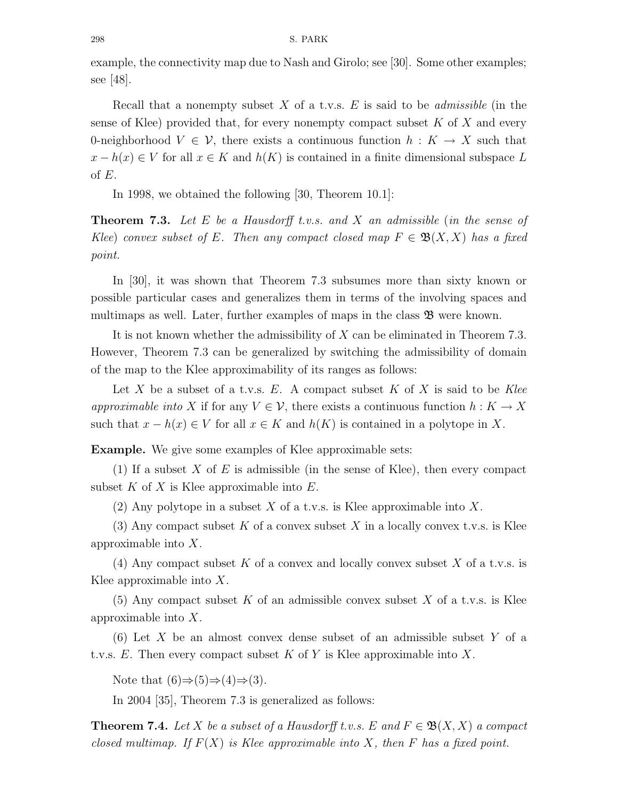example, the connectivity map due to Nash and Girolo; see [30]. Some other examples; see [48].

Recall that a nonempty subset  $X$  of a t.v.s.  $E$  is said to be *admissible* (in the sense of Klee) provided that, for every nonempty compact subset  $K$  of  $X$  and every 0-neighborhood  $V \in \mathcal{V}$ , there exists a continuous function  $h: K \to X$  such that  $x - h(x) \in V$  for all  $x \in K$  and  $h(K)$  is contained in a finite dimensional subspace L of  $E$ .

In 1998, we obtained the following [30, Theorem 10.1]:

**Theorem 7.3.** Let E be a Hausdorff t.v.s. and X an admissible (in the sense of Klee) convex subset of E. Then any compact closed map  $F \in \mathfrak{B}(X,X)$  has a fixed point.

In [30], it was shown that Theorem 7.3 subsumes more than sixty known or possible particular cases and generalizes them in terms of the involving spaces and multimaps as well. Later, further examples of maps in the class  $\mathfrak{B}$  were known.

It is not known whether the admissibility of X can be eliminated in Theorem 7.3. However, Theorem 7.3 can be generalized by switching the admissibility of domain of the map to the Klee approximability of its ranges as follows:

Let X be a subset of a t.v.s. E. A compact subset K of X is said to be Klee approximable into X if for any  $V \in \mathcal{V}$ , there exists a continuous function  $h: K \to X$ such that  $x - h(x) \in V$  for all  $x \in K$  and  $h(K)$  is contained in a polytope in X.

Example. We give some examples of Klee approximable sets:

(1) If a subset X of E is admissible (in the sense of Klee), then every compact subset K of X is Klee approximable into  $E$ .

(2) Any polytope in a subset X of a t.v.s. is Klee approximable into X.

(3) Any compact subset K of a convex subset X in a locally convex t.v.s. is Klee approximable into X.

(4) Any compact subset K of a convex and locally convex subset X of a t.v.s. is Klee approximable into  $X$ .

(5) Any compact subset K of an admissible convex subset X of a t.v.s. is Klee approximable into X.

(6) Let X be an almost convex dense subset of an admissible subset Y of a t.v.s.  $E$ . Then every compact subset K of Y is Klee approximable into X.

Note that  $(6) \Rightarrow (5) \Rightarrow (4) \Rightarrow (3)$ .

In 2004 [35], Theorem 7.3 is generalized as follows:

**Theorem 7.4.** Let X be a subset of a Hausdorff t.v.s. E and  $F \in \mathfrak{B}(X,X)$  a compact closed multimap. If  $F(X)$  is Klee approximable into X, then F has a fixed point.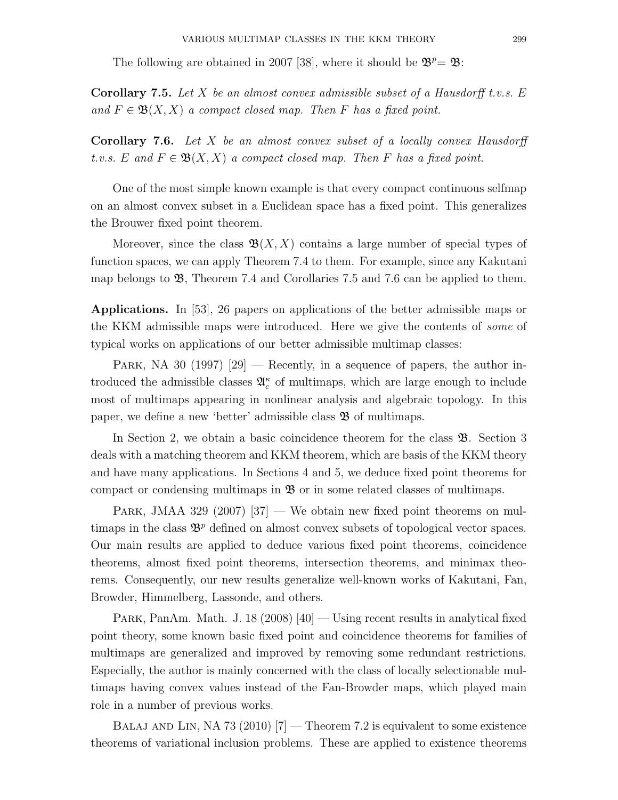The following are obtained in 2007 [38], where it should be  $\mathfrak{B}^p = \mathfrak{B}$ :

**Corollary 7.5.** Let X be an almost convex admissible subset of a Hausdorff t.v.s.  $E$ and  $F \in \mathfrak{B}(X,X)$  a compact closed map. Then F has a fixed point.

Corollary 7.6. Let X be an almost convex subset of a locally convex Hausdorff t.v.s. E and  $F \in \mathfrak{B}(X,X)$  a compact closed map. Then F has a fixed point.

One of the most simple known example is that every compact continuous selfmap on an almost convex subset in a Euclidean space has a fixed point. This generalizes the Brouwer fixed point theorem.

Moreover, since the class  $\mathfrak{B}(X,X)$  contains a large number of special types of function spaces, we can apply Theorem 7.4 to them. For example, since any Kakutani map belongs to  $\mathfrak{B}$ , Theorem 7.4 and Corollaries 7.5 and 7.6 can be applied to them.

Applications. In [53], 26 papers on applications of the better admissible maps or the KKM admissible maps were introduced. Here we give the contents of some of typical works on applications of our better admissible multimap classes:

PARK, NA 30 (1997)  $[29]$  — Recently, in a sequence of papers, the author introduced the admissible classes  $\mathfrak{A}_{c}^{\kappa}$  of multimaps, which are large enough to include most of multimaps appearing in nonlinear analysis and algebraic topology. In this paper, we define a new 'better' admissible class  $\mathfrak{B}$  of multimaps.

In Section 2, we obtain a basic coincidence theorem for the class B. Section 3 deals with a matching theorem and KKM theorem, which are basis of the KKM theory and have many applications. In Sections 4 and 5, we deduce fixed point theorems for compact or condensing multimaps in  $\mathfrak{B}$  or in some related classes of multimaps.

PARK, JMAA 329 (2007)  $[37]$  — We obtain new fixed point theorems on multimaps in the class  $\mathfrak{B}^p$  defined on almost convex subsets of topological vector spaces. Our main results are applied to deduce various fixed point theorems, coincidence theorems, almost fixed point theorems, intersection theorems, and minimax theorems. Consequently, our new results generalize well-known works of Kakutani, Fan, Browder, Himmelberg, Lassonde, and others.

PARK, PanAm. Math. J. 18 (2008)  $[40]$  — Using recent results in analytical fixed point theory, some known basic fixed point and coincidence theorems for families of multimaps are generalized and improved by removing some redundant restrictions. Especially, the author is mainly concerned with the class of locally selectionable multimaps having convex values instead of the Fan-Browder maps, which played main role in a number of previous works.

BALAJ AND LIN, NA 73 (2010)  $[7]$  – Theorem 7.2 is equivalent to some existence theorems of variational inclusion problems. These are applied to existence theorems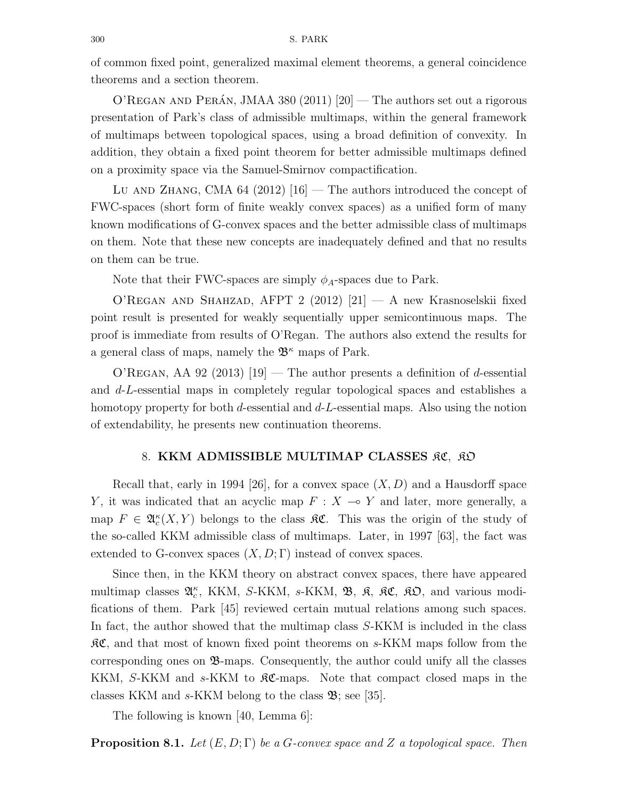of common fixed point, generalized maximal element theorems, a general coincidence theorems and a section theorem.

O'REGAN AND PERÁN, JMAA 380 (2011)  $[20]$  – The authors set out a rigorous presentation of Park's class of admissible multimaps, within the general framework of multimaps between topological spaces, using a broad definition of convexity. In addition, they obtain a fixed point theorem for better admissible multimaps defined on a proximity space via the Samuel-Smirnov compactification.

Lu AND ZHANG, CMA 64 (2012)  $[16]$  – The authors introduced the concept of FWC-spaces (short form of finite weakly convex spaces) as a unified form of many known modifications of G-convex spaces and the better admissible class of multimaps on them. Note that these new concepts are inadequately defined and that no results on them can be true.

Note that their FWC-spaces are simply  $\phi_A$ -spaces due to Park.

O'Regan and Shahzad, AFPT 2 (2012) [21] — A new Krasnoselskii fixed point result is presented for weakly sequentially upper semicontinuous maps. The proof is immediate from results of O'Regan. The authors also extend the results for a general class of maps, namely the  $\mathfrak{B}^{\kappa}$  maps of Park.

O'REGAN, AA 92 (2013)  $[19]$  — The author presents a definition of d-essential and d-L-essential maps in completely regular topological spaces and establishes a homotopy property for both d-essential and  $d$ -L-essential maps. Also using the notion of extendability, he presents new continuation theorems.

### 8. KKM ADMISSIBLE MULTIMAP CLASSES RC, RO

Recall that, early in 1994 [26], for a convex space  $(X, D)$  and a Hausdorff space Y, it was indicated that an acyclic map  $F : X \multimap Y$  and later, more generally, a map  $F \in \mathfrak{A}_{c}^{\kappa}(X, Y)$  belongs to the class  $\mathfrak{RC}$ . This was the origin of the study of the so-called KKM admissible class of multimaps. Later, in 1997 [63], the fact was extended to G-convex spaces  $(X, D; \Gamma)$  instead of convex spaces.

Since then, in the KKM theory on abstract convex spaces, there have appeared multimap classes  $\mathfrak{A}_{c}^{\kappa}$ , KKM, S-KKM, s-KKM,  $\mathfrak{B}$ ,  $\mathfrak{K}$ ,  $\mathfrak{K}$ C,  $\mathfrak{K}$ D, and various modifications of them. Park [45] reviewed certain mutual relations among such spaces. In fact, the author showed that the multimap class S-KKM is included in the class  $\mathcal{RC}$ , and that most of known fixed point theorems on  $s$ -KKM maps follow from the corresponding ones on  $\mathfrak{B}$ -maps. Consequently, the author could unify all the classes KKM, S-KKM and  $s$ -KKM to  $\Re \mathfrak{C}$ -maps. Note that compact closed maps in the classes KKM and s-KKM belong to the class  $\mathfrak{B}$ ; see [35].

The following is known [40, Lemma 6]:

**Proposition 8.1.** Let  $(E, D; \Gamma)$  be a G-convex space and Z a topological space. Then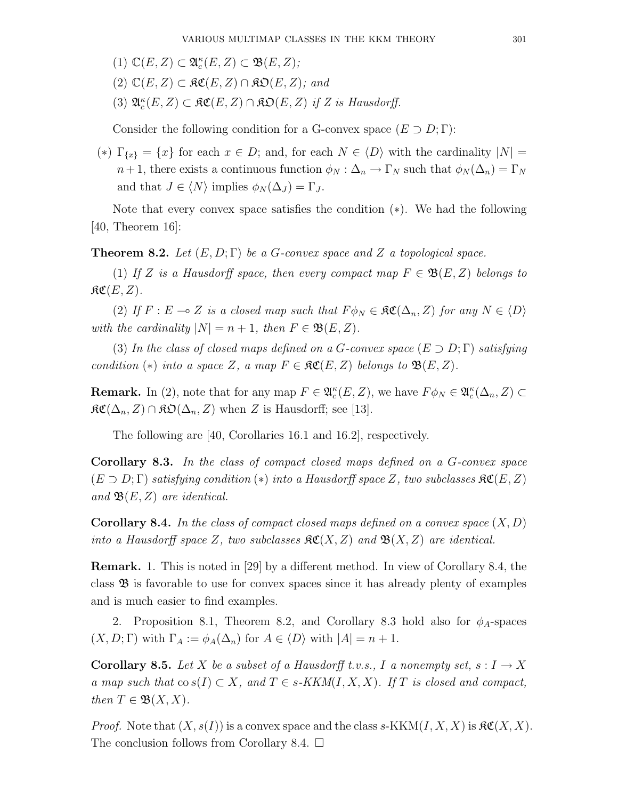- (1)  $\mathbb{C}(E, Z) \subset \mathfrak{A}_{c}^{\kappa}(E, Z) \subset \mathfrak{B}(E, Z);$
- $(2)$   $\mathbb{C}(E, Z) \subset \mathfrak{RC}(E, Z) \cap \mathfrak{RD}(E, Z);$  and
- (3)  $\mathfrak{A}_{c}^{\kappa}(E, Z) \subset \mathfrak{RC}(E, Z) \cap \mathfrak{RO}(E, Z)$  if Z is Hausdorff.

Consider the following condition for a G-convex space  $(E \supset D; \Gamma)$ :

(\*)  $\Gamma_{\{x\}} = \{x\}$  for each  $x \in D$ ; and, for each  $N \in \langle D \rangle$  with the cardinality  $|N| =$  $n+1$ , there exists a continuous function  $\phi_N : \Delta_n \to \Gamma_N$  such that  $\phi_N(\Delta_n) = \Gamma_N$ and that  $J \in \langle N \rangle$  implies  $\phi_N(\Delta_J) = \Gamma_J$ .

Note that every convex space satisfies the condition (∗). We had the following [40, Theorem 16]:

**Theorem 8.2.** Let  $(E, D; \Gamma)$  be a G-convex space and Z a topological space.

(1) If Z is a Hausdorff space, then every compact map  $F \in \mathfrak{B}(E, Z)$  belongs to  $\mathfrak{RC}(E,Z)$ .

(2) If  $F : E \multimap Z$  is a closed map such that  $F \phi_N \in \mathfrak{RC}(\Delta_n, Z)$  for any  $N \in \langle D \rangle$ with the cardinality  $|N| = n + 1$ , then  $F \in \mathfrak{B}(E, Z)$ .

(3) In the class of closed maps defined on a G-convex space  $(E \supset D; \Gamma)$  satisfying condition (\*) into a space Z, a map  $F \in \mathfrak{RC}(E, Z)$  belongs to  $\mathfrak{B}(E, Z)$ .

**Remark.** In (2), note that for any map  $F \in \mathfrak{A}_{c}^{\kappa}(E, Z)$ , we have  $F \phi_N \in \mathfrak{A}_{c}^{\kappa}(\Delta_n, Z) \subset$  $\mathfrak{RC}(\Delta_n, Z) \cap \mathfrak{RO}(\Delta_n, Z)$  when Z is Hausdorff; see [13].

The following are [40, Corollaries 16.1 and 16.2], respectively.

Corollary 8.3. In the class of compact closed maps defined on a G-convex space  $(E \supset D; \Gamma)$  satisfying condition (\*) into a Hausdorff space Z, two subclasses  $\mathfrak{SC}(E, Z)$ and  $\mathfrak{B}(E, Z)$  are identical.

**Corollary 8.4.** In the class of compact closed maps defined on a convex space  $(X, D)$ into a Hausdorff space Z, two subclasses  $\mathcal{RC}(X, Z)$  and  $\mathcal{B}(X, Z)$  are identical.

Remark. 1. This is noted in [29] by a different method. In view of Corollary 8.4, the class  $\mathfrak B$  is favorable to use for convex spaces since it has already plenty of examples and is much easier to find examples.

2. Proposition 8.1, Theorem 8.2, and Corollary 8.3 hold also for  $\phi_A$ -spaces  $(X, D; \Gamma)$  with  $\Gamma_A := \phi_A(\Delta_n)$  for  $A \in \langle D \rangle$  with  $|A| = n + 1$ .

**Corollary 8.5.** Let X be a subset of a Hausdorff t.v.s., I a nonempty set,  $s: I \to X$ a map such that  $\cos(I) \subset X$ , and  $T \in s-KKM(I,X,X)$ . If T is closed and compact, then  $T \in \mathfrak{B}(X,X)$ .

*Proof.* Note that  $(X, s(I))$  is a convex space and the class  $s$ -KKM $(I, X, X)$  is  $\mathfrak{SC}(X, X)$ . The conclusion follows from Corollary 8.4.  $\Box$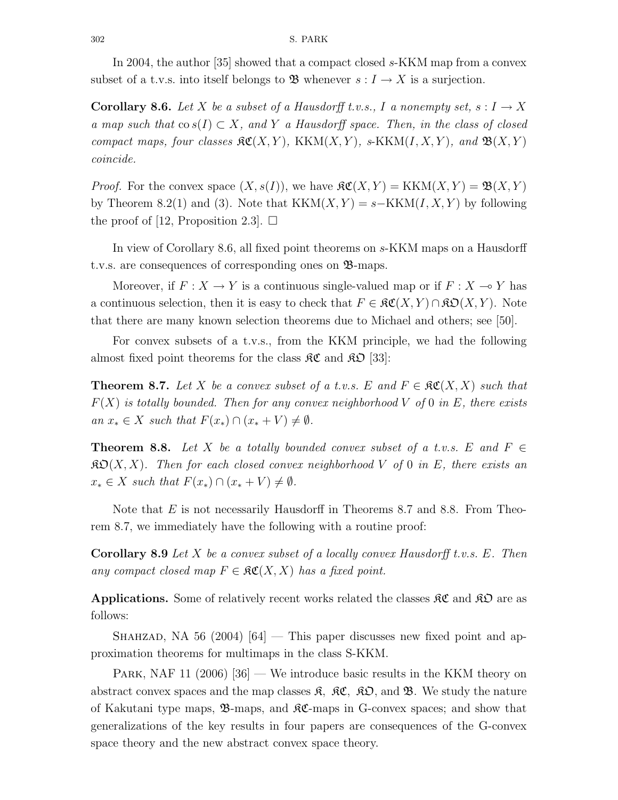In 2004, the author [35] showed that a compact closed s-KKM map from a convex subset of a t.v.s. into itself belongs to **B** whenever  $s: I \to X$  is a surjection.

**Corollary 8.6.** Let X be a subset of a Hausdorff t.v.s., I a nonempty set,  $s: I \to X$ a map such that  $\cos(I) \subset X$ , and Y a Hausdorff space. Then, in the class of closed compact maps, four classes  $\mathcal{RC}(X, Y)$ , KKM $(X, Y)$ , s-KKM $(I, X, Y)$ , and  $\mathcal{B}(X, Y)$ coincide.

*Proof.* For the convex space  $(X, s(I))$ , we have  $\mathcal{RC}(X, Y) = \text{KKM}(X, Y) = \mathfrak{B}(X, Y)$ by Theorem 8.2(1) and (3). Note that  $KKM(X, Y) = s-KKM(I, X, Y)$  by following the proof of [12, Proposition 2.3].  $\Box$ 

In view of Corollary 8.6, all fixed point theorems on s-KKM maps on a Hausdorff t.v.s. are consequences of corresponding ones on B-maps.

Moreover, if  $F: X \to Y$  is a continuous single-valued map or if  $F: X \to Y$  has a continuous selection, then it is easy to check that  $F \in \mathcal{RC}(X, Y) \cap \mathcal{RD}(X, Y)$ . Note that there are many known selection theorems due to Michael and others; see [50].

For convex subsets of a t.v.s., from the KKM principle, we had the following almost fixed point theorems for the class  $\mathfrak{RC}$  and  $\mathfrak{RD}$  [33]:

**Theorem 8.7.** Let X be a convex subset of a t.v.s. E and  $F \in \mathcal{RC}(X, X)$  such that  $F(X)$  is totally bounded. Then for any convex neighborhood V of 0 in E, there exists an  $x_* \in X$  such that  $F(x_*) \cap (x_* + V) \neq \emptyset$ .

**Theorem 8.8.** Let X be a totally bounded convex subset of a t.v.s. E and  $F \in$  $\mathfrak{K} \mathfrak{O}(X,X)$ . Then for each closed convex neighborhood V of 0 in E, there exists an  $x_* \in X$  such that  $F(x_*) \cap (x_* + V) \neq \emptyset$ .

Note that  $E$  is not necessarily Hausdorff in Theorems 8.7 and 8.8. From Theorem 8.7, we immediately have the following with a routine proof:

**Corollary 8.9** Let X be a convex subset of a locally convex Hausdorff t.v.s.  $E$ . Then any compact closed map  $F \in \mathfrak{RC}(X,X)$  has a fixed point.

**Applications.** Some of relatively recent works related the classes  $\mathcal{RC}$  and  $\mathcal{RD}$  are as follows:

SHAHZAD, NA 56 (2004)  $[64]$  — This paper discusses new fixed point and approximation theorems for multimaps in the class S-KKM.

PARK, NAF 11  $(2006)$  [36] — We introduce basic results in the KKM theory on abstract convex spaces and the map classes  $\mathfrak{K}$ ,  $\mathfrak{K}C$ ,  $\mathfrak{K}D$ , and  $\mathfrak{B}$ . We study the nature of Kakutani type maps,  $\mathfrak{B}$ -maps, and  $\mathfrak{K}$ -maps in G-convex spaces; and show that generalizations of the key results in four papers are consequences of the G-convex space theory and the new abstract convex space theory.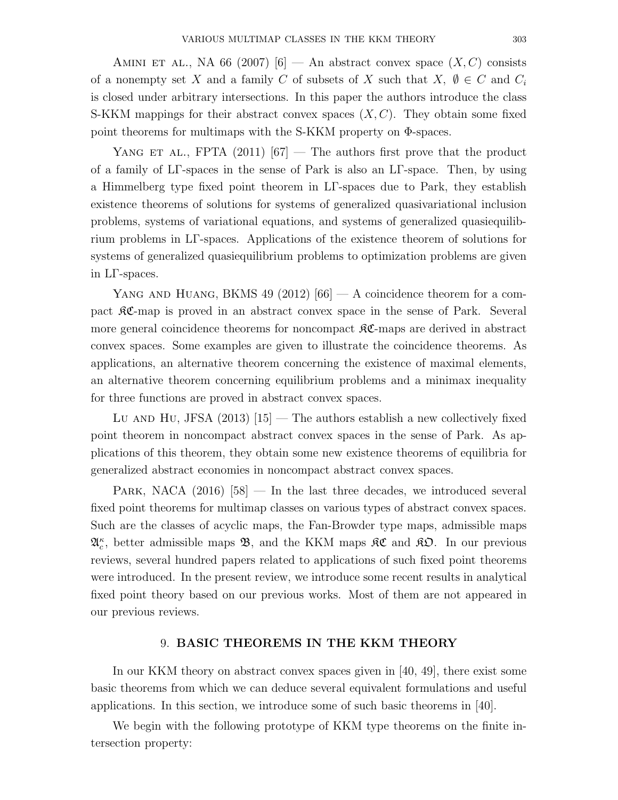AMINI ET AL., NA 66 (2007) [6] — An abstract convex space  $(X, C)$  consists of a nonempty set X and a family C of subsets of X such that X,  $\emptyset \in C$  and  $C_i$ is closed under arbitrary intersections. In this paper the authors introduce the class S-KKM mappings for their abstract convex spaces  $(X, C)$ . They obtain some fixed point theorems for multimaps with the S-KKM property on Φ-spaces.

YANG ET AL., FPTA  $(2011)$   $[67]$  — The authors first prove that the product of a family of LΓ-spaces in the sense of Park is also an LΓ-space. Then, by using a Himmelberg type fixed point theorem in LΓ-spaces due to Park, they establish existence theorems of solutions for systems of generalized quasivariational inclusion problems, systems of variational equations, and systems of generalized quasiequilibrium problems in LΓ-spaces. Applications of the existence theorem of solutions for systems of generalized quasiequilibrium problems to optimization problems are given in LΓ-spaces.

YANG AND HUANG, BKMS 49 (2012)  $[66]$  – A coincidence theorem for a compact  $\mathcal{RC}$ -map is proved in an abstract convex space in the sense of Park. Several more general coincidence theorems for noncompact  $\Re\mathfrak{C}$ -maps are derived in abstract convex spaces. Some examples are given to illustrate the coincidence theorems. As applications, an alternative theorem concerning the existence of maximal elements, an alternative theorem concerning equilibrium problems and a minimax inequality for three functions are proved in abstract convex spaces.

Lu AND HU, JFSA  $(2013)$  [15] — The authors establish a new collectively fixed point theorem in noncompact abstract convex spaces in the sense of Park. As applications of this theorem, they obtain some new existence theorems of equilibria for generalized abstract economies in noncompact abstract convex spaces.

PARK, NACA  $(2016)$  [58] — In the last three decades, we introduced several fixed point theorems for multimap classes on various types of abstract convex spaces. Such are the classes of acyclic maps, the Fan-Browder type maps, admissible maps  $\mathfrak{A}_{c}^{\kappa}$ , better admissible maps  $\mathfrak{B}$ , and the KKM maps  $\mathfrak{K}C$  and  $\mathfrak{K}D$ . In our previous reviews, several hundred papers related to applications of such fixed point theorems were introduced. In the present review, we introduce some recent results in analytical fixed point theory based on our previous works. Most of them are not appeared in our previous reviews.

### 9. BASIC THEOREMS IN THE KKM THEORY

In our KKM theory on abstract convex spaces given in [40, 49], there exist some basic theorems from which we can deduce several equivalent formulations and useful applications. In this section, we introduce some of such basic theorems in [40].

We begin with the following prototype of KKM type theorems on the finite intersection property: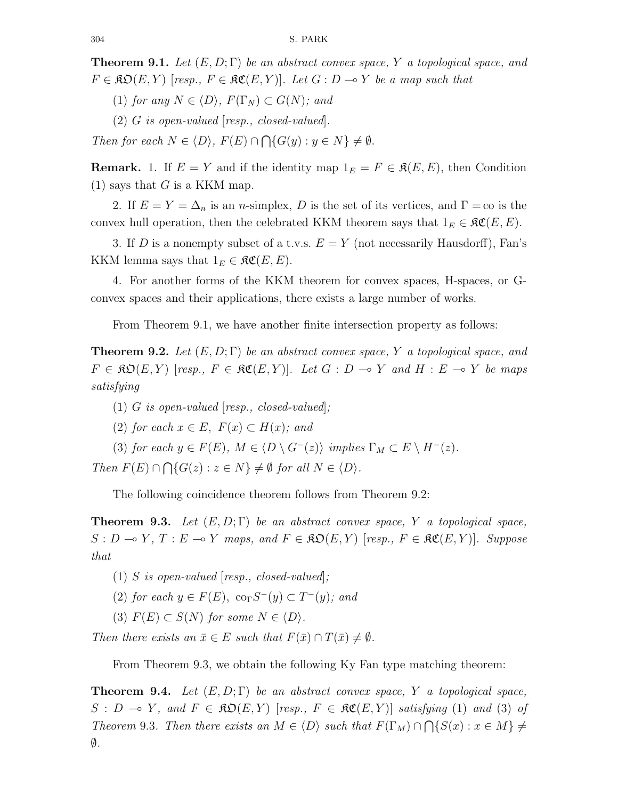**Theorem 9.1.** Let  $(E, D; \Gamma)$  be an abstract convex space, Y a topological space, and  $F \in \mathfrak{RO}(E, Y)$  [resp.,  $F \in \mathfrak{RC}(E, Y)$ ]. Let  $G : D \to Y$  be a map such that

(1) for any  $N \in \langle D \rangle$ ,  $F(\Gamma_N) \subset G(N)$ ; and

(2) G is open-valued [resp., closed-valued].

Then for each  $N \in \langle D \rangle$ ,  $F(E) \cap \bigcap \{G(y) : y \in N\} \neq \emptyset$ .

**Remark.** 1. If  $E = Y$  and if the identity map  $1_E = F \in \mathcal{R}(E, E)$ , then Condition  $(1)$  says that G is a KKM map.

2. If  $E = Y = \Delta_n$  is an *n*-simplex, D is the set of its vertices, and  $\Gamma = \infty$  is the convex hull operation, then the celebrated KKM theorem says that  $1_E \in \mathfrak{RC}(E, E)$ .

3. If D is a nonempty subset of a t.v.s.  $E = Y$  (not necessarily Hausdorff), Fan's KKM lemma says that  $1_E \in \mathfrak{RC}(E, E)$ .

4. For another forms of the KKM theorem for convex spaces, H-spaces, or Gconvex spaces and their applications, there exists a large number of works.

From Theorem 9.1, we have another finite intersection property as follows:

**Theorem 9.2.** Let  $(E, D; \Gamma)$  be an abstract convex space, Y a topological space, and  $F \in \mathfrak{RO}(E, Y)$  [resp.,  $F \in \mathfrak{RC}(E, Y)$ ]. Let  $G : D \to Y$  and  $H : E \to Y$  be maps satisfying

- (1)  $G$  is open-valued  $[resp., closed-valued]$ ;
- (2) for each  $x \in E$ ,  $F(x) \subset H(x)$ ; and
- (3) for each  $y \in F(E)$ ,  $M \in \langle D \setminus G^{-}(z) \rangle$  implies  $\Gamma_M \subset E \setminus H^{-}(z)$ .

Then  $F(E) \cap \bigcap \{G(z) : z \in N\} \neq \emptyset$  for all  $N \in \langle D \rangle$ .

The following coincidence theorem follows from Theorem 9.2:

**Theorem 9.3.** Let  $(E, D; \Gamma)$  be an abstract convex space, Y a topological space,  $S : D \to Y, T : E \to Y$  maps, and  $F \in \mathfrak{SO}(E, Y)$  [resp.,  $F \in \mathfrak{RC}(E, Y)$ ]. Suppose that

- (1) S is open-valued  $[resp., closed-valued]$ ;
- (2) for each  $y \in F(E)$ ,  $\operatorname{co}_{\Gamma} S^{-}(y) \subset T^{-}(y)$ ; and
- (3)  $F(E) \subset S(N)$  for some  $N \in \langle D \rangle$ .

Then there exists an  $\bar{x} \in E$  such that  $F(\bar{x}) \cap T(\bar{x}) \neq \emptyset$ .

From Theorem 9.3, we obtain the following Ky Fan type matching theorem:

**Theorem 9.4.** Let  $(E, D; \Gamma)$  be an abstract convex space, Y a topological space,  $S : D \multimap Y$ , and  $F \in \mathfrak{SO}(E, Y)$  [resp.,  $F \in \mathfrak{RC}(E, Y)$ ] satisfying (1) and (3) of Theorem 9.3. Then there exists an  $M \in \langle D \rangle$  such that  $F(\Gamma_M) \cap \bigcap \{S(x) : x \in M\} \neq$ ∅.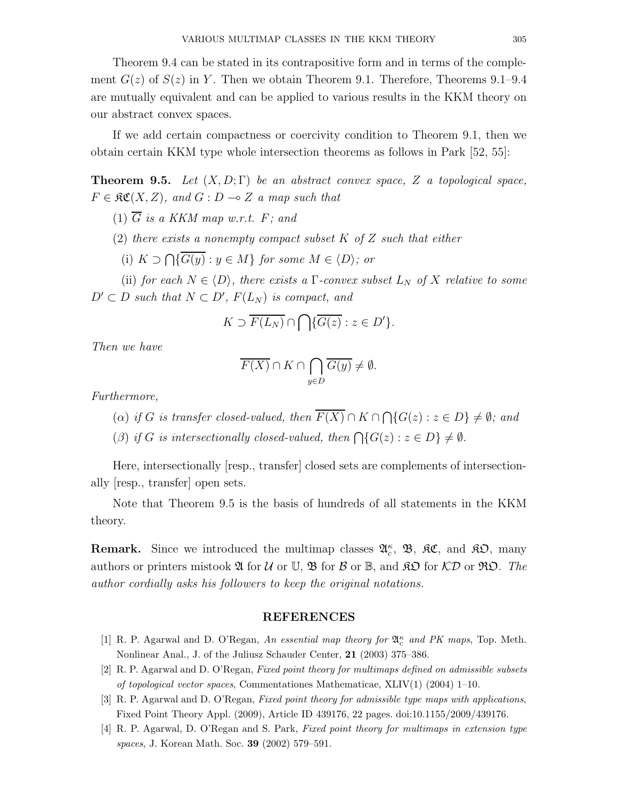Theorem 9.4 can be stated in its contrapositive form and in terms of the complement  $G(z)$  of  $S(z)$  in Y. Then we obtain Theorem 9.1. Therefore, Theorems 9.1–9.4 are mutually equivalent and can be applied to various results in the KKM theory on our abstract convex spaces.

If we add certain compactness or coercivity condition to Theorem 9.1, then we obtain certain KKM type whole intersection theorems as follows in Park [52, 55]:

**Theorem 9.5.** Let  $(X, D; \Gamma)$  be an abstract convex space, Z a topological space,  $F \in \mathfrak{RC}(X,Z)$ , and  $G : D \multimap Z$  a map such that

(1)  $\overline{G}$  is a KKM map w.r.t. F; and

(2) there exists a nonempty compact subset  $K$  of  $Z$  such that either

(i)  $K \supset \bigcap \{G(y) : y \in M\}$  for some  $M \in \langle D \rangle$ ; or

(ii) for each  $N \in \langle D \rangle$ , there exists a  $\Gamma$ -convex subset  $L_N$  of X relative to some  $D' \subset D$  such that  $N \subset D'$ ,  $F(L_N)$  is compact, and

$$
K \supset \overline{F(L_N)} \cap \bigcap \{\overline{G(z)} : z \in D'\}.
$$

Then we have

$$
\overline{F(X)} \cap K \cap \bigcap_{y \in D} \overline{G(y)} \neq \emptyset.
$$

Furthermore,

(a) if G is transfer closed-valued, then  $F(X) \cap K \cap \bigcap \{G(z) : z \in D\} \neq \emptyset$ ; and

(B) if G is intersectionally closed-valued, then  $\bigcap \{G(z) : z \in D\} \neq \emptyset$ .

Here, intersectionally [resp., transfer] closed sets are complements of intersectionally [resp., transfer] open sets.

Note that Theorem 9.5 is the basis of hundreds of all statements in the KKM theory.

Remark. Since we introduced the multimap classes  $\mathfrak{A}_{c}^{\kappa}$ ,  $\mathfrak{B}$ ,  $\mathfrak{K} \mathfrak{C}$ , and  $\mathfrak{K} \mathfrak{O}$ , many authors or printers mistook  $\mathfrak A$  for  $\mathcal U$  or  $\mathbb U$ ,  $\mathfrak B$  for  $\mathcal B$  or  $\mathbb B$ , and  $\mathfrak K\mathfrak D$  for  $\mathcal K\mathcal D$  or  $\mathfrak R\mathfrak O$ . The author cordially asks his followers to keep the original notations.

### REFERENCES

- [1] R. P. Agarwal and D. O'Regan, An essential map theory for  $\mathfrak{A}_{c}^{\kappa}$  and PK maps, Top. Meth. Nonlinear Anal., J. of the Juliusz Schauder Center, 21 (2003) 375–386.
- [2] R. P. Agarwal and D. O'Regan, Fixed point theory for multimaps defined on admissible subsets of topological vector spaces, Commentationes Mathematicae, XLIV(1) (2004) 1–10.
- [3] R. P. Agarwal and D. O'Regan, Fixed point theory for admissible type maps with applications, Fixed Point Theory Appl. (2009), Article ID 439176, 22 pages. doi:10.1155/2009/439176.
- [4] R. P. Agarwal, D. O'Regan and S. Park, Fixed point theory for multimaps in extension type spaces, J. Korean Math. Soc. 39 (2002) 579–591.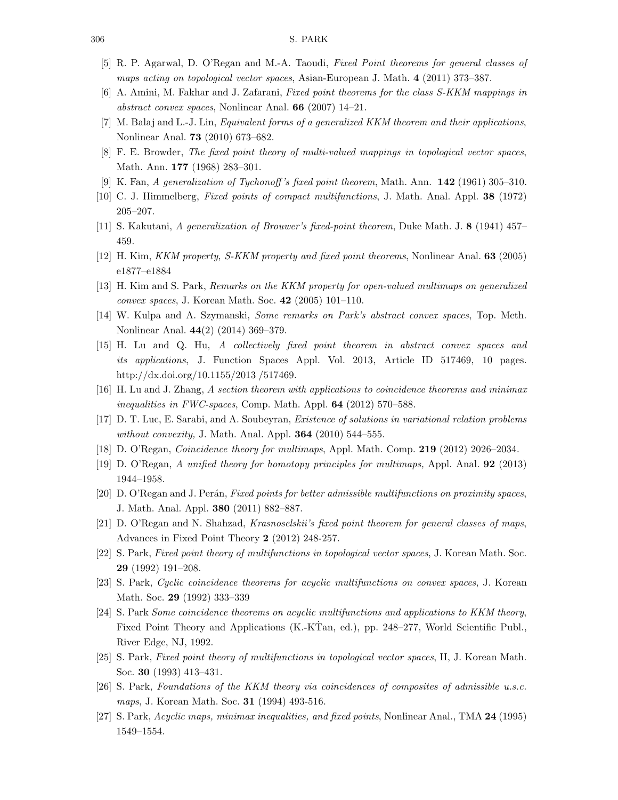- [5] R. P. Agarwal, D. O'Regan and M.-A. Taoudi, Fixed Point theorems for general classes of maps acting on topological vector spaces, Asian-European J. Math. 4 (2011) 373–387.
- [6] A. Amini, M. Fakhar and J. Zafarani, Fixed point theorems for the class S-KKM mappings in abstract convex spaces, Nonlinear Anal. 66 (2007) 14–21.
- [7] M. Balaj and L.-J. Lin, *Equivalent forms of a generalized KKM theorem and their applications*, Nonlinear Anal. 73 (2010) 673–682.
- [8] F. E. Browder, The fixed point theory of multi-valued mappings in topological vector spaces, Math. Ann. 177 (1968) 283–301.
- [9] K. Fan, A generalization of Tychonoff 's fixed point theorem, Math. Ann. 142 (1961) 305–310.
- [10] C. J. Himmelberg, Fixed points of compact multifunctions, J. Math. Anal. Appl. 38 (1972) 205–207.
- [11] S. Kakutani, A generalization of Brouwer's fixed-point theorem, Duke Math. J. 8 (1941) 457– 459.
- [12] H. Kim, KKM property, S-KKM property and fixed point theorems, Nonlinear Anal. 63 (2005) e1877–e1884
- [13] H. Kim and S. Park, Remarks on the KKM property for open-valued multimaps on generalized convex spaces, J. Korean Math. Soc. 42 (2005) 101–110.
- [14] W. Kulpa and A. Szymanski, Some remarks on Park's abstract convex spaces, Top. Meth. Nonlinear Anal. 44(2) (2014) 369–379.
- [15] H. Lu and Q. Hu, A collectively fixed point theorem in abstract convex spaces and its applications, J. Function Spaces Appl. Vol. 2013, Article ID 517469, 10 pages. http://dx.doi.org/10.1155/2013 /517469.
- [16] H. Lu and J. Zhang, A section theorem with applications to coincidence theorems and minimax inequalities in FWC-spaces, Comp. Math. Appl. 64 (2012) 570–588.
- [17] D. T. Luc, E. Sarabi, and A. Soubeyran, Existence of solutions in variational relation problems without convexity, J. Math. Anal. Appl.  $364$  (2010) 544–555.
- [18] D. O'Regan, Coincidence theory for multimaps, Appl. Math. Comp. 219 (2012) 2026–2034.
- [19] D. O'Regan, A unified theory for homotopy principles for multimaps, Appl. Anal. 92 (2013) 1944–1958.
- [20] D. O'Regan and J. Perán, Fixed points for better admissible multifunctions on proximity spaces, J. Math. Anal. Appl. 380 (2011) 882–887.
- [21] D. O'Regan and N. Shahzad, Krasnoselskii's fixed point theorem for general classes of maps, Advances in Fixed Point Theory 2 (2012) 248-257.
- [22] S. Park, Fixed point theory of multifunctions in topological vector spaces, J. Korean Math. Soc. 29 (1992) 191–208.
- [23] S. Park, Cyclic coincidence theorems for acyclic multifunctions on convex spaces, J. Korean Math. Soc. 29 (1992) 333–339
- [24] S. Park Some coincidence theorems on acyclic multifunctions and applications to KKM theory, Fixed Point Theory and Applications (K.-KTan, ed.), pp. 248–277, World Scientific Publ., River Edge, NJ, 1992.
- [25] S. Park, Fixed point theory of multifunctions in topological vector spaces, II, J. Korean Math. Soc. 30 (1993) 413–431.
- [26] S. Park, Foundations of the KKM theory via coincidences of composites of admissible u.s.c. maps, J. Korean Math. Soc. **31** (1994) 493-516.
- [27] S. Park, Acyclic maps, minimax inequalities, and fixed points, Nonlinear Anal., TMA 24 (1995) 1549–1554.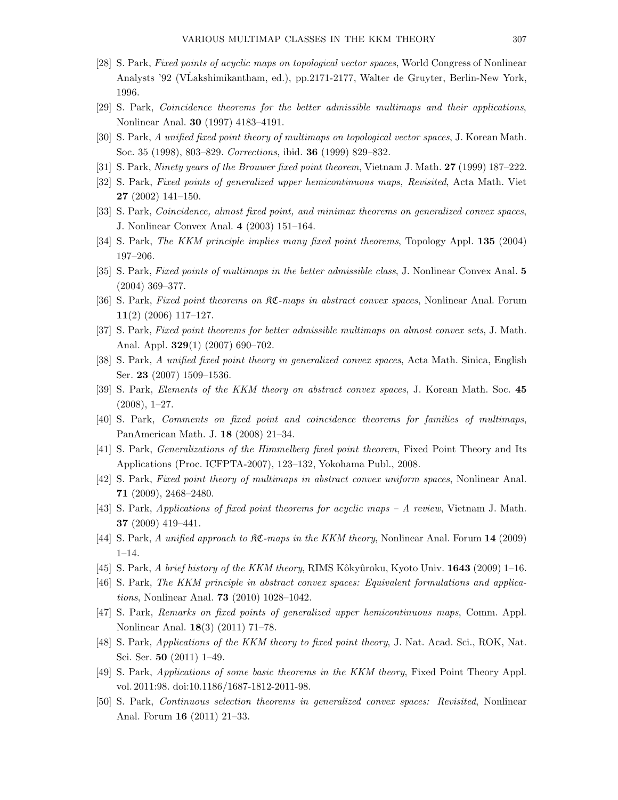- [28] S. Park, Fixed points of acyclic maps on topological vector spaces, World Congress of Nonlinear Analysts '92 (VLakshimikantham, ed.), pp.2171-2177, Walter de Gruyter, Berlin-New York, 1996.
- [29] S. Park, Coincidence theorems for the better admissible multimaps and their applications, Nonlinear Anal. 30 (1997) 4183–4191.
- [30] S. Park, A unified fixed point theory of multimaps on topological vector spaces, J. Korean Math. Soc. 35 (1998), 803–829. Corrections, ibid. 36 (1999) 829–832.
- [31] S. Park, Ninety years of the Brouwer fixed point theorem, Vietnam J. Math. 27 (1999) 187–222.
- [32] S. Park, Fixed points of generalized upper hemicontinuous maps, Revisited, Acta Math. Viet 27 (2002) 141–150.
- [33] S. Park, *Coincidence, almost fixed point, and minimax theorems on generalized convex spaces*, J. Nonlinear Convex Anal. 4 (2003) 151–164.
- [34] S. Park, The KKM principle implies many fixed point theorems, Topology Appl. 135 (2004) 197–206.
- [35] S. Park, Fixed points of multimaps in the better admissible class, J. Nonlinear Convex Anal. 5 (2004) 369–377.
- [36] S. Park, Fixed point theorems on KC-maps in abstract convex spaces, Nonlinear Anal. Forum 11(2) (2006) 117–127.
- [37] S. Park, Fixed point theorems for better admissible multimaps on almost convex sets, J. Math. Anal. Appl. 329(1) (2007) 690–702.
- [38] S. Park, A unified fixed point theory in generalized convex spaces, Acta Math. Sinica, English Ser. 23 (2007) 1509–1536.
- [39] S. Park, Elements of the KKM theory on abstract convex spaces, J. Korean Math. Soc. 45  $(2008), 1-27.$
- [40] S. Park, Comments on fixed point and coincidence theorems for families of multimaps, PanAmerican Math. J. 18 (2008) 21–34.
- [41] S. Park, Generalizations of the Himmelberg fixed point theorem, Fixed Point Theory and Its Applications (Proc. ICFPTA-2007), 123–132, Yokohama Publ., 2008.
- [42] S. Park, Fixed point theory of multimaps in abstract convex uniform spaces, Nonlinear Anal. 71 (2009), 2468–2480.
- [43] S. Park, Applications of fixed point theorems for acyclic maps A review, Vietnam J. Math. 37 (2009) 419–441.
- [44] S. Park, A unified approach to  $\mathfrak{K}C$ -maps in the KKM theory, Nonlinear Anal. Forum 14 (2009) 1–14.
- $[45]$  S. Park, A brief history of the KKM theory, RIMS Kôkyûroku, Kyoto Univ. 1643 (2009) 1–16.
- [46] S. Park, The KKM principle in abstract convex spaces: Equivalent formulations and applications, Nonlinear Anal. 73 (2010) 1028–1042.
- [47] S. Park, Remarks on fixed points of generalized upper hemicontinuous maps, Comm. Appl. Nonlinear Anal. 18(3) (2011) 71–78.
- [48] S. Park, Applications of the KKM theory to fixed point theory, J. Nat. Acad. Sci., ROK, Nat. Sci. Ser. 50 (2011) 1–49.
- [49] S. Park, Applications of some basic theorems in the KKM theory, Fixed Point Theory Appl. vol. 2011:98. doi:10.1186/1687-1812-2011-98.
- [50] S. Park, Continuous selection theorems in generalized convex spaces: Revisited, Nonlinear Anal. Forum 16 (2011) 21–33.